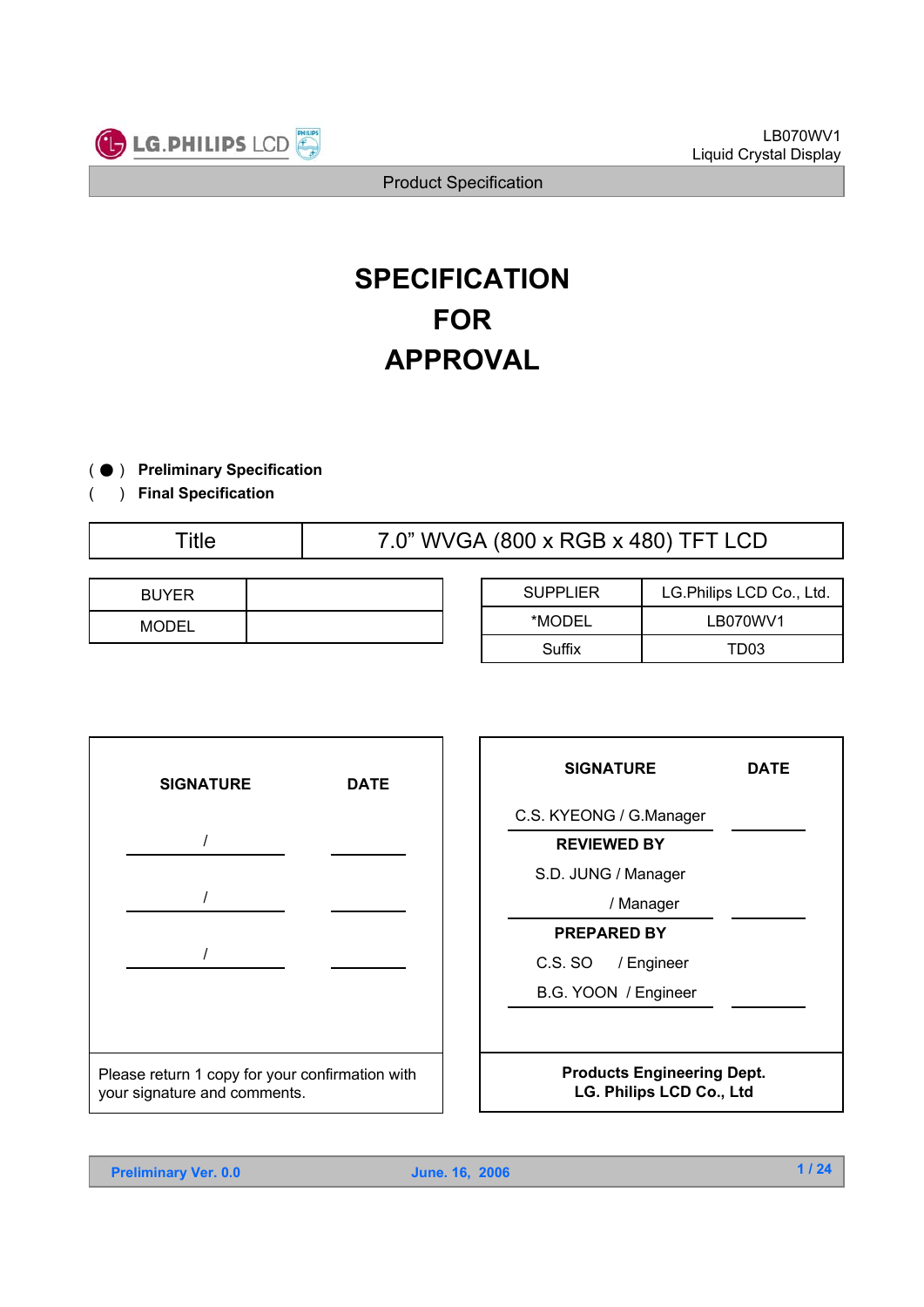

# **SPECIFICATION FOR APPROVAL**

- ) ( ̻ **Preliminary Specification**
- ) **Final Specification**

(

Title 7.0" WVGA (800 x RGB x 480) TFT LCD

| <b>BUYER</b> |  |
|--------------|--|
| <b>MODEL</b> |  |

| <b>SUPPLIER</b> | LG.Philips LCD Co., Ltd. |  |  |  |
|-----------------|--------------------------|--|--|--|
| *MODEL          | LB070WV1                 |  |  |  |
| Suffix          | TD <sub>03</sub>         |  |  |  |



| <b>SIGNATURE</b>                                                     | DATE |  |  |
|----------------------------------------------------------------------|------|--|--|
| C.S. KYEONG / G.Manager                                              |      |  |  |
| <b>REVIEWED BY</b>                                                   |      |  |  |
| S.D. JUNG / Manager                                                  |      |  |  |
| / Manager                                                            |      |  |  |
| <b>PREPARED BY</b>                                                   |      |  |  |
| C.S. SO / Engineer                                                   |      |  |  |
| B.G. YOON / Engineer                                                 |      |  |  |
|                                                                      |      |  |  |
| <b>Products Engineering Dept.</b><br><b>LG. Philips LCD Co., Ltd</b> |      |  |  |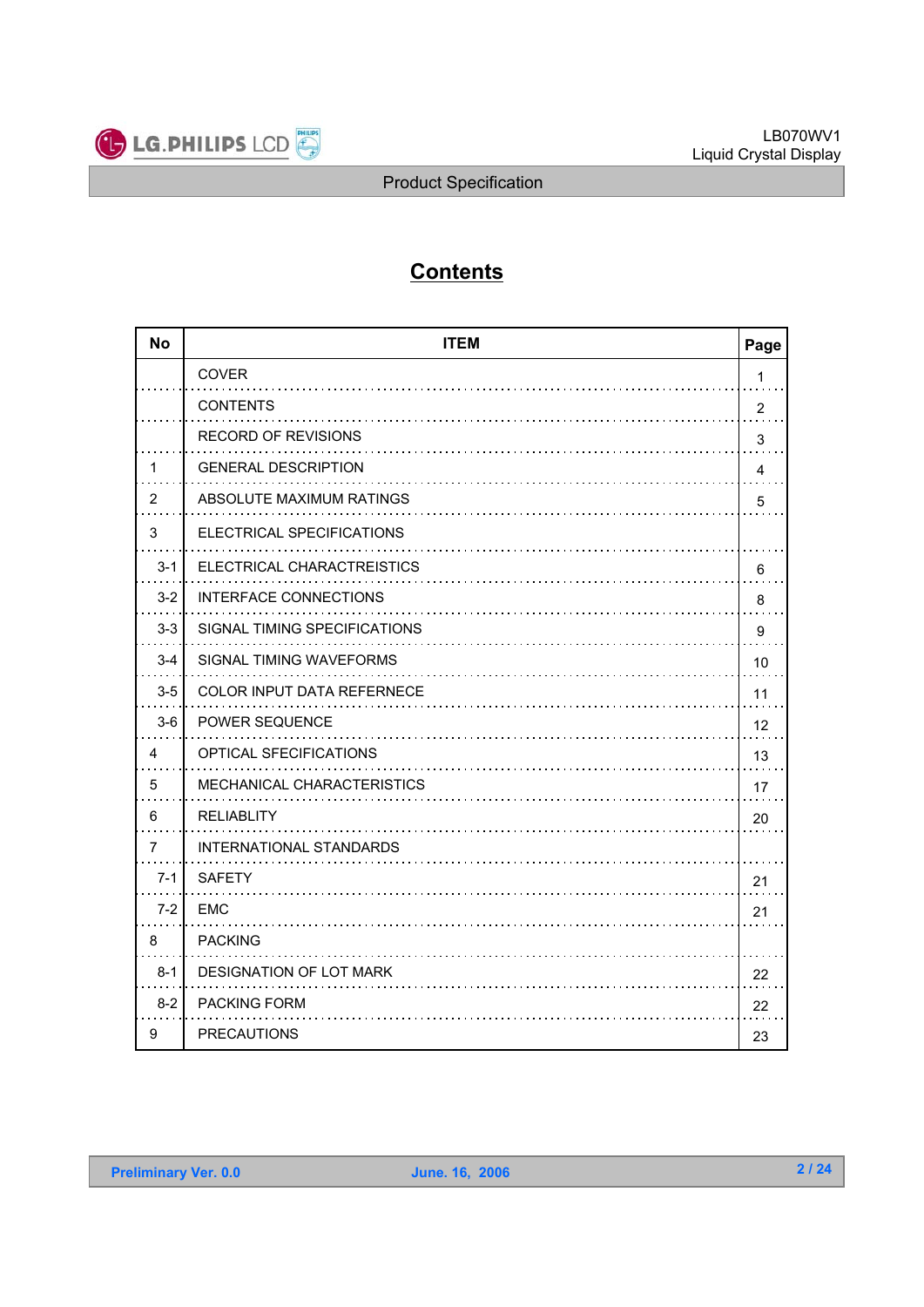

# **Contents**

| <b>No</b>      | <b>ITEM</b><br>Page               |                         |  |  |  |  |
|----------------|-----------------------------------|-------------------------|--|--|--|--|
|                | <b>COVER</b>                      | $\mathbf{1}$            |  |  |  |  |
|                | <b>CONTENTS</b>                   | $\overline{2}$          |  |  |  |  |
|                | <b>RECORD OF REVISIONS</b>        | 3                       |  |  |  |  |
| 1              | <b>GENERAL DESCRIPTION</b>        | $\overline{\mathbf{4}}$ |  |  |  |  |
| $\overline{2}$ | ABSOLUTE MAXIMUM RATINGS          | 5                       |  |  |  |  |
| 3              | ELECTRICAL SPECIFICATIONS         |                         |  |  |  |  |
| $3 - 1$        | ELECTRICAL CHARACTREISTICS        | 6                       |  |  |  |  |
| $3 - 2$        | <b>INTERFACE CONNECTIONS</b>      | 8                       |  |  |  |  |
| $3-3$          | SIGNAL TIMING SPECIFICATIONS      | 9                       |  |  |  |  |
| $3 - 4$        | SIGNAL TIMING WAVEFORMS           | 10                      |  |  |  |  |
| $3-5$          | <b>COLOR INPUT DATA REFERNECE</b> | 11                      |  |  |  |  |
| $3-6$          | <b>POWER SEQUENCE</b>             | 12                      |  |  |  |  |
| 4              | OPTICAL SFECIFICATIONS            | 13                      |  |  |  |  |
| 5              | MECHANICAL CHARACTERISTICS        | 17                      |  |  |  |  |
| 6              | <b>RELIABLITY</b>                 | 20                      |  |  |  |  |
| $\overline{7}$ | INTERNATIONAL STANDARDS           |                         |  |  |  |  |
| $7 - 1$        | <b>SAFETY</b>                     | 21                      |  |  |  |  |
| $7-2$          | <b>EMC</b>                        | 21                      |  |  |  |  |
| 8              | <b>PACKING</b>                    |                         |  |  |  |  |
| $8 - 1$        | DESIGNATION OF LOT MARK           | 22                      |  |  |  |  |
| $8 - 2$        | <b>PACKING FORM</b>               | 22                      |  |  |  |  |
| 9              | <b>PRECAUTIONS</b>                | 23                      |  |  |  |  |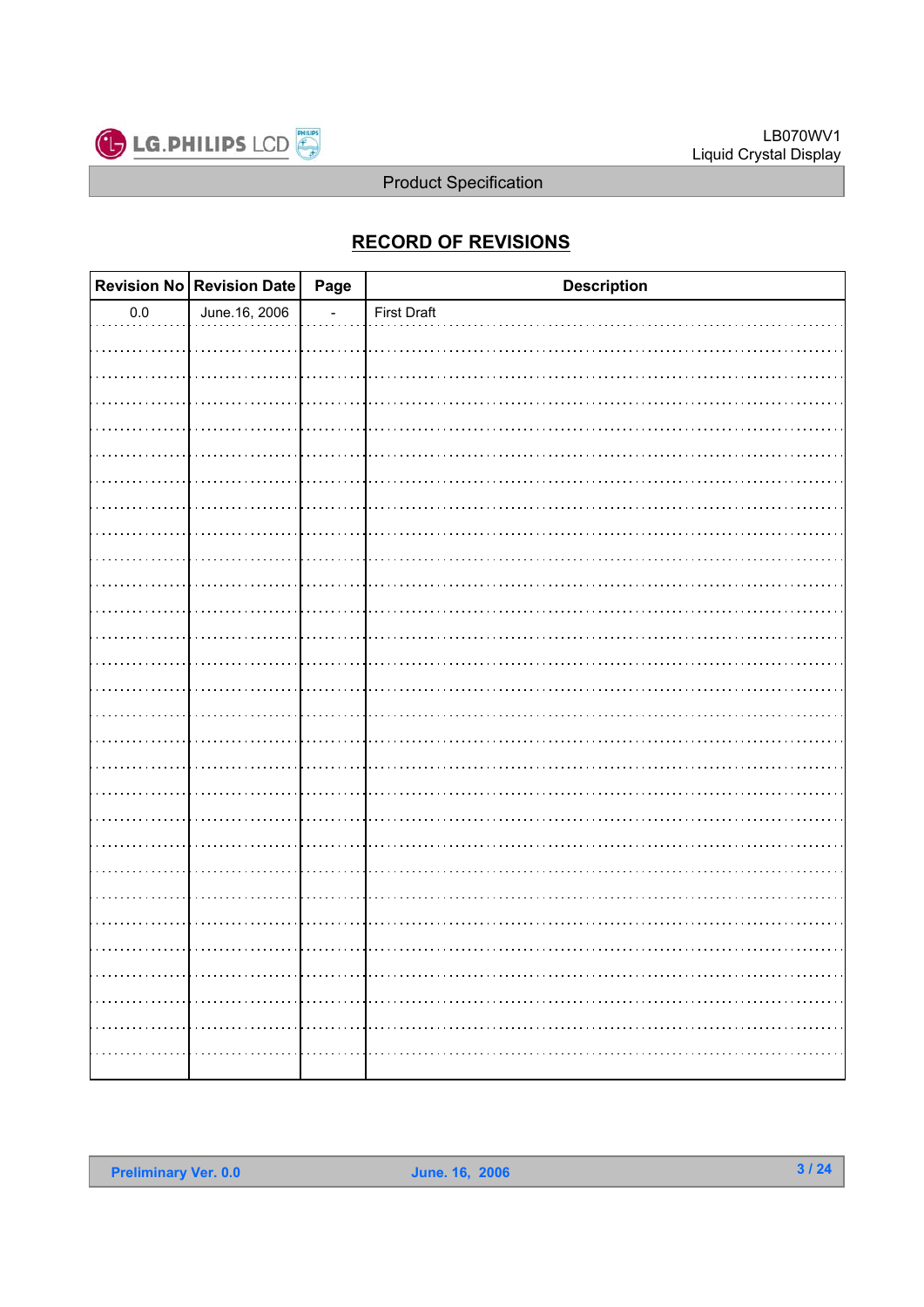

### **RECORD OF REVISIONS**

|         | <b>Revision No</b> Revision Date Page | <b>Description</b> |
|---------|---------------------------------------|--------------------|
| $0.0\,$ | June.16, 2006                         | First Draft        |
|         |                                       |                    |
|         |                                       |                    |
|         |                                       |                    |
|         |                                       |                    |
|         |                                       |                    |
|         |                                       |                    |
|         |                                       |                    |
|         |                                       |                    |
|         |                                       |                    |
|         |                                       |                    |
|         |                                       |                    |
|         |                                       |                    |
|         |                                       |                    |
|         |                                       |                    |
|         |                                       |                    |
|         |                                       |                    |
|         |                                       |                    |
|         |                                       |                    |
|         |                                       |                    |
|         |                                       |                    |
|         |                                       |                    |
|         |                                       |                    |
|         |                                       |                    |
|         |                                       |                    |
|         |                                       |                    |
|         |                                       |                    |
|         |                                       |                    |
|         |                                       |                    |
|         |                                       |                    |
|         |                                       |                    |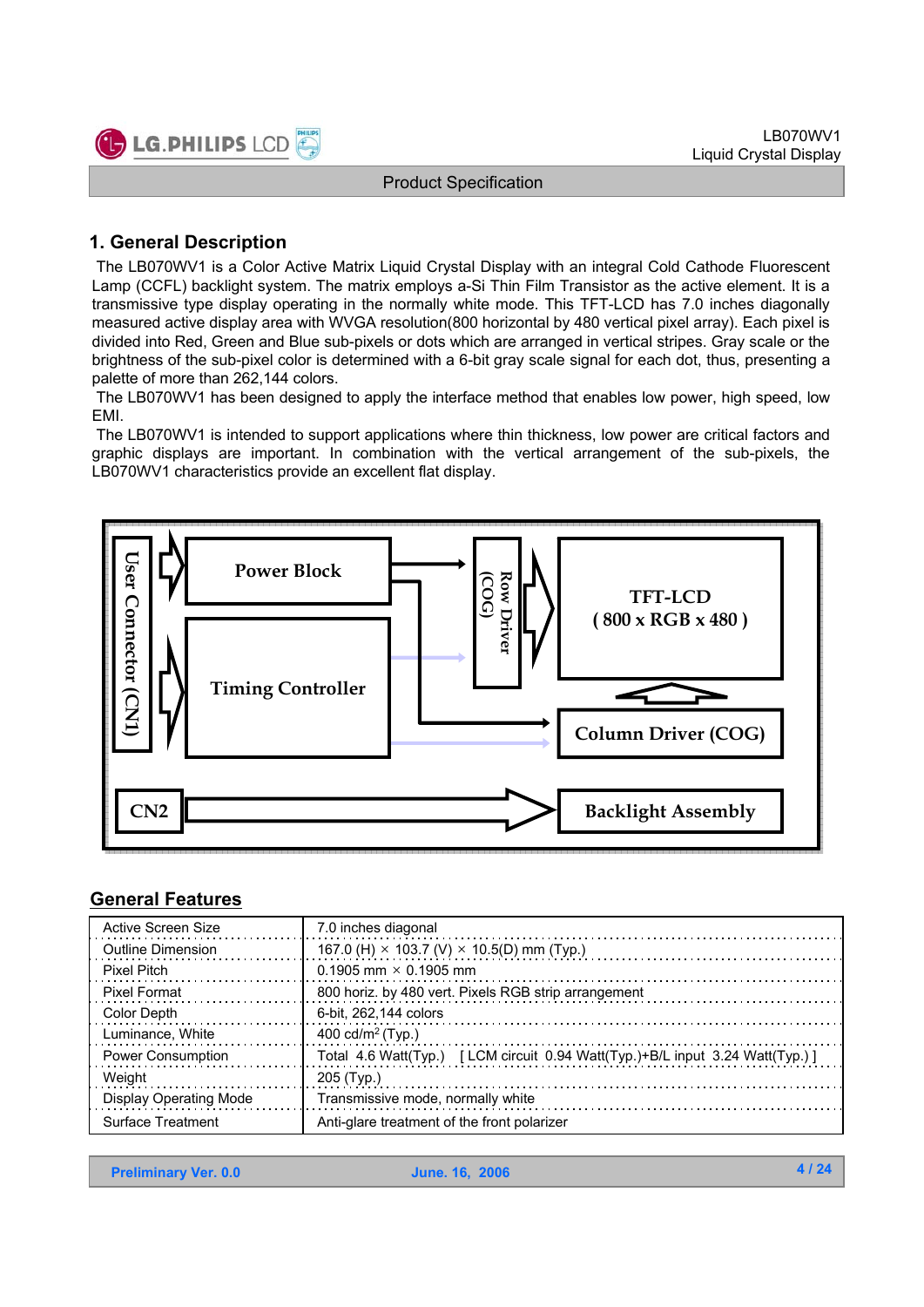

### **1. General Description**

The LB070WV1 is a Color Active Matrix Liquid Crystal Display with an integral Cold Cathode Fluorescent Lamp (CCFL) backlight system. The matrix employs a-Si Thin Film Transistor as the active element. It is a transmissive type display operating in the normally white mode. This TFT-LCD has 7.0 inches diagonally measured active display area with WVGA resolution(800 horizontal by 480 vertical pixel array). Each pixel is divided into Red, Green and Blue sub-pixels or dots which are arranged in vertical stripes. Gray scale or the brightness of the sub-pixel color is determined with a 6-bit gray scale signal for each dot, thus, presenting a palette of more than 262,144 colors.

The LB070WV1 has been designed to apply the interface method that enables low power, high speed, low EMI.

The LB070WV1 is intended to support applications where thin thickness, low power are critical factors and graphic displays are important. In combination with the vertical arrangement of the sub-pixels, the LB070WV1 characteristics provide an excellent flat display.



#### **General Features**

| Active Screen Size       | 7.0 inches diagonal                                                          |
|--------------------------|------------------------------------------------------------------------------|
| Outline Dimension        | 167.0 (H) $\times$ 103.7 (V) $\times$ 10.5(D) mm (Typ.)                      |
| <b>Pixel Pitch</b>       | 0.1905 mm $\times$ 0.1905 mm                                                 |
| Pixel Format             | 800 horiz. by 480 vert. Pixels RGB strip arrangement                         |
| Color Depth              | 6-bit, 262,144 colors                                                        |
| Luminance, White         | 400 cd/m <sup>2</sup> (Typ.)                                                 |
| <b>Power Consumption</b> | Total 4.6 Watt(Typ.) [LCM circuit 0.94 Watt(Typ.)+B/L input 3.24 Watt(Typ.)] |
| Weight                   | 205 (Typ.)                                                                   |
| Display Operating Mode   | Transmissive mode, normally white                                            |
| <b>Surface Treatment</b> | Anti-glare treatment of the front polarizer                                  |

**Preliminary Ver. 0.0 June. 16, 2006**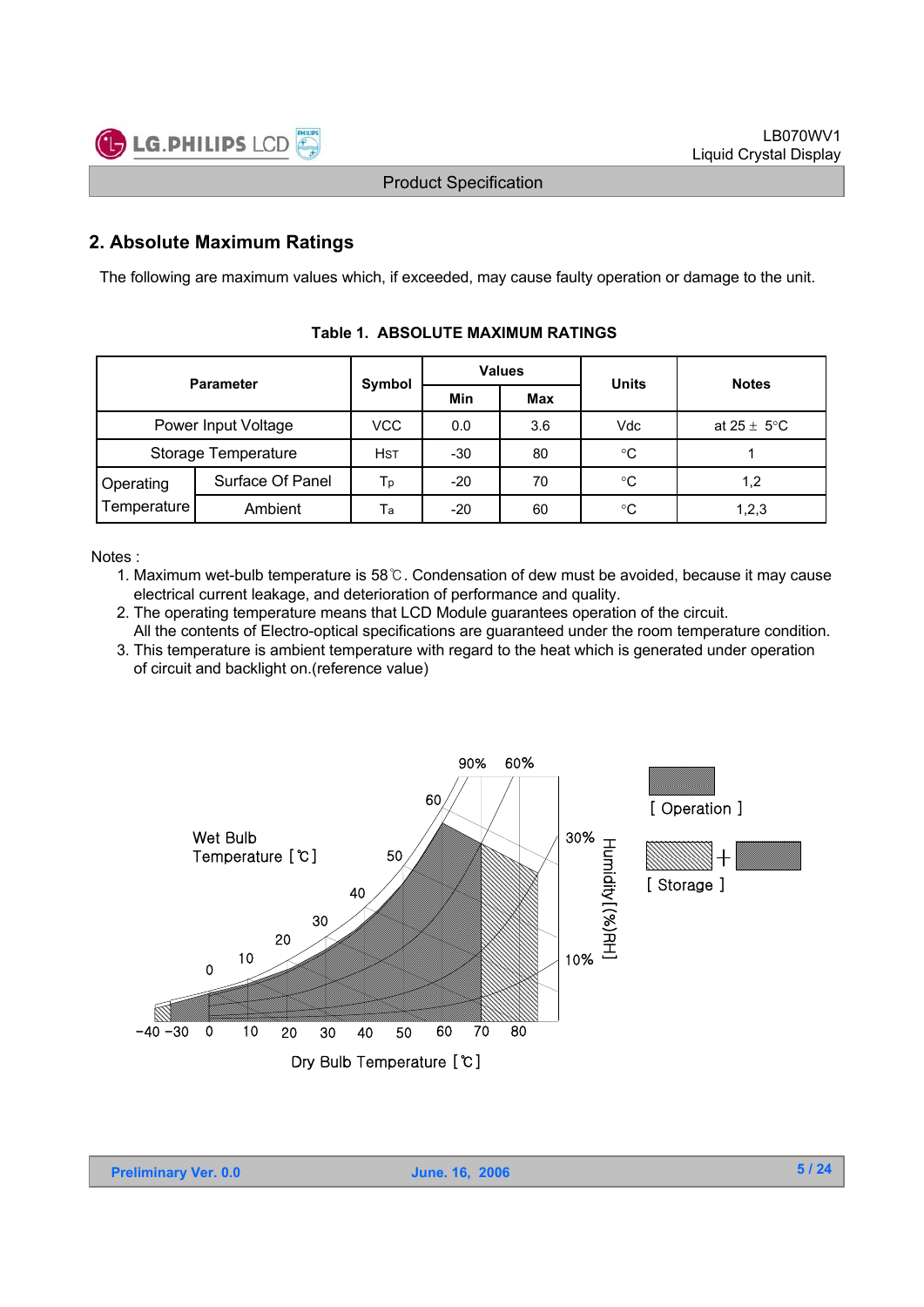

### **2. Absolute Maximum Ratings**

The following are maximum values which, if exceeded, may cause faulty operation or damage to the unit.

| <b>Parameter</b>    |                  | Symbol     |       | <b>Values</b> | <b>Units</b> | <b>Notes</b>            |  |
|---------------------|------------------|------------|-------|---------------|--------------|-------------------------|--|
|                     |                  |            | Min   | Max           |              |                         |  |
| Power Input Voltage |                  | VCC        | 0.0   | 3.6           | Vdc          | at $25 \pm 5^{\circ}$ C |  |
| Storage Temperature |                  | <b>HST</b> | -30   | 80            | $^{\circ}C$  |                         |  |
| Operating           | Surface Of Panel | Тp         | $-20$ | 70            | ℃            | 1,2                     |  |
| Temperature         | Ambient          | Тa         | $-20$ | 60            | $^{\circ}C$  | 1,2,3                   |  |

#### **Table 1. ABSOLUTE MAXIMUM RATINGS**

Notes :

- 1. Maximum wet-bulb temperature is  $58^\circ$ C. Condensation of dew must be avoided, because it may cause electrical current leakage, and deterioration of performance and quality.
- 2. The operating temperature means that LCD Module guarantees operation of the circuit.
- All the contents of Electro-optical specifications are guaranteed under the room temperature condition. 3. This temperature is ambient temperature with regard to the heat which is generated under operation



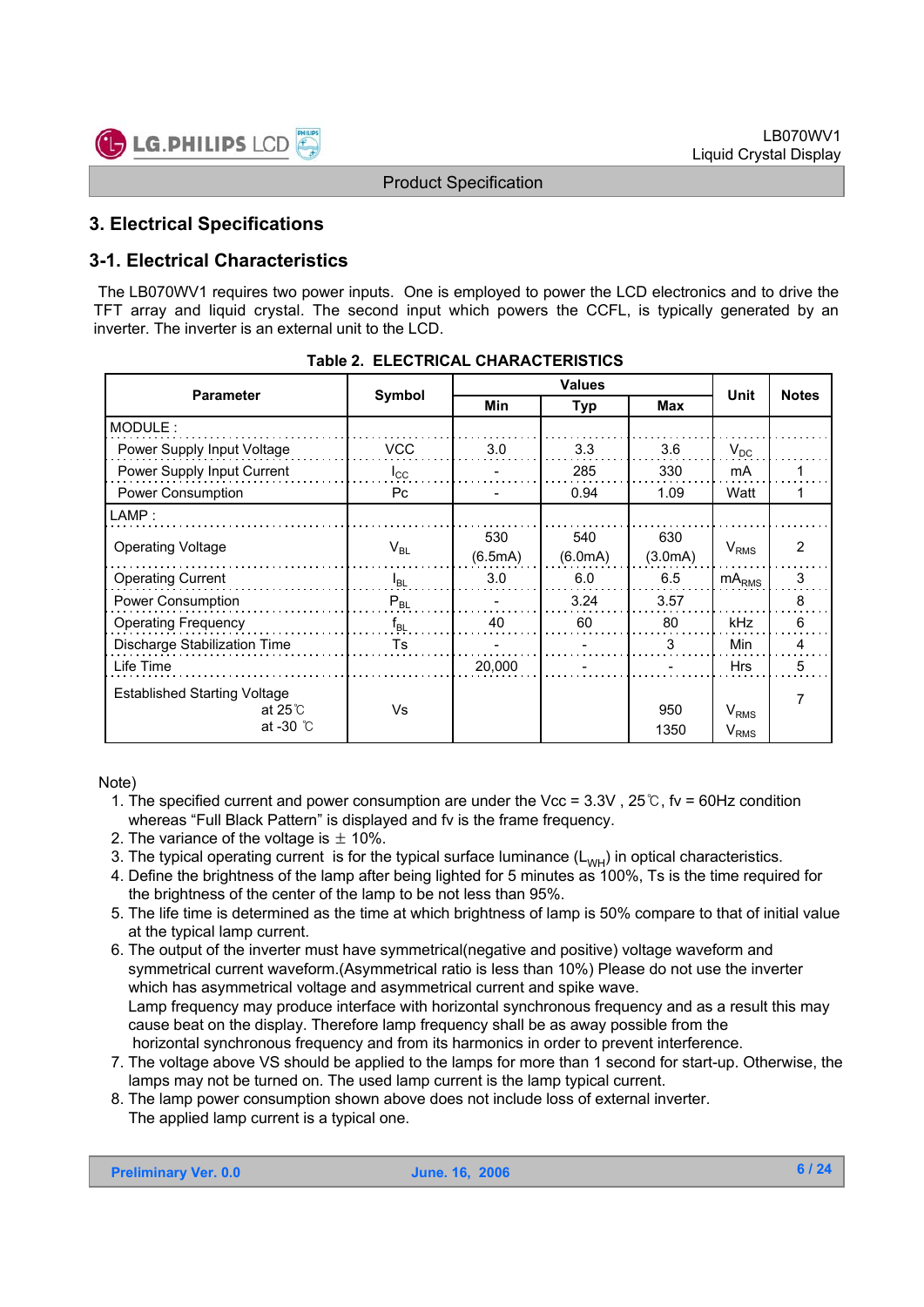

### **3. Electrical Specifications**

### **3-1. Electrical Characteristics**

The LB070WV1 requires two power inputs. One is employed to power the LCD electronics and to drive the TFT array and liquid crystal. The second input which powers the CCFL, is typically generated by an inverter. The inverter is an external unit to the LCD.

| <b>Parameter</b>                    |              |         |         | <b>Notes</b> |                  |                |  |
|-------------------------------------|--------------|---------|---------|--------------|------------------|----------------|--|
|                                     | Symbol       | Min     | Typ     |              | Unit             |                |  |
| MODULE:                             |              |         |         |              |                  |                |  |
| Power Supply Input Voltage          | <b>VCC</b>   | 3.0     | 3.3     | 3.6          | $V_{DC}$         |                |  |
| Power Supply Input Current          | $I_{\rm CC}$ |         | 285     | 330          | mA               |                |  |
| Power Consumption                   | Pc           |         | 0.94    | 1.09         | Watt             |                |  |
| LAMP:                               |              |         |         |              |                  |                |  |
| <b>Operating Voltage</b>            | $V_{BL}$     | 530     | 540     | 630          | $V_{RMS}$        | $\overline{2}$ |  |
|                                     |              | (6.5mA) | (6.0mA) | (3.0mA)      |                  |                |  |
| <b>Operating Current</b>            | $I_{BL}$     | 3.0     | 6.0     | 6.5          | $mA_{RMS}$       | 3              |  |
| Power Consumption                   | $P_{BL}$     |         | 3.24    | 3.57         |                  | 8              |  |
| <b>Operating Frequency</b>          | $f_{BL}$     | 40      | 60      | 80           | kHz              | 6              |  |
| Discharge Stabilization Time        | Ts           |         |         | 3            | Min              | 4              |  |
| Life Time                           |              | 20,000  |         |              | <b>Hrs</b>       | 5              |  |
| <b>Established Starting Voltage</b> |              |         |         |              |                  | 7              |  |
| at 25 $\degree$ C                   | Vs           |         |         | 950          | V <sub>RMS</sub> |                |  |
| at -30 $\degree$ C                  |              |         |         | 1350         | $V_{RMS}$        |                |  |

Note)

- 1. The specified current and power consumption are under the Vcc =  $3.3V$ ,  $25^\circ$ C, fv = 60Hz condition whereas "Full Black Pattern" is displayed and fv is the frame frequency.
- 2. The variance of the voltage is  $\pm$  10%.
- 3. The typical operating current is for the typical surface luminance  $(L_{WH})$  in optical characteristics.
- 4. Define the brightness of the lamp after being lighted for 5 minutes as 100%, Ts is the time required for the brightness of the center of the lamp to be not less than 95%.
- 5. The life time is determined as the time at which brightness of lamp is 50% compare to that of initial value at the typical lamp current.
- 6. The output of the inverter must have symmetrical(negative and positive) voltage waveform and symmetrical current waveform.(Asymmetrical ratio is less than 10%) Please do not use the inverter which has asymmetrical voltage and asymmetrical current and spike wave. Lamp frequency may produce interface with horizontal synchronous frequency and as a result this may cause beat on the display. Therefore lamp frequency shall be as away possible from the horizontal synchronous frequency and from its harmonics in order to prevent interference.
- 7. The voltage above VS should be applied to the lamps for more than 1 second for start-up. Otherwise, the lamps may not be turned on. The used lamp current is the lamp typical current.
- 8. The lamp power consumption shown above does not include loss of external inverter. The applied lamp current is a typical one.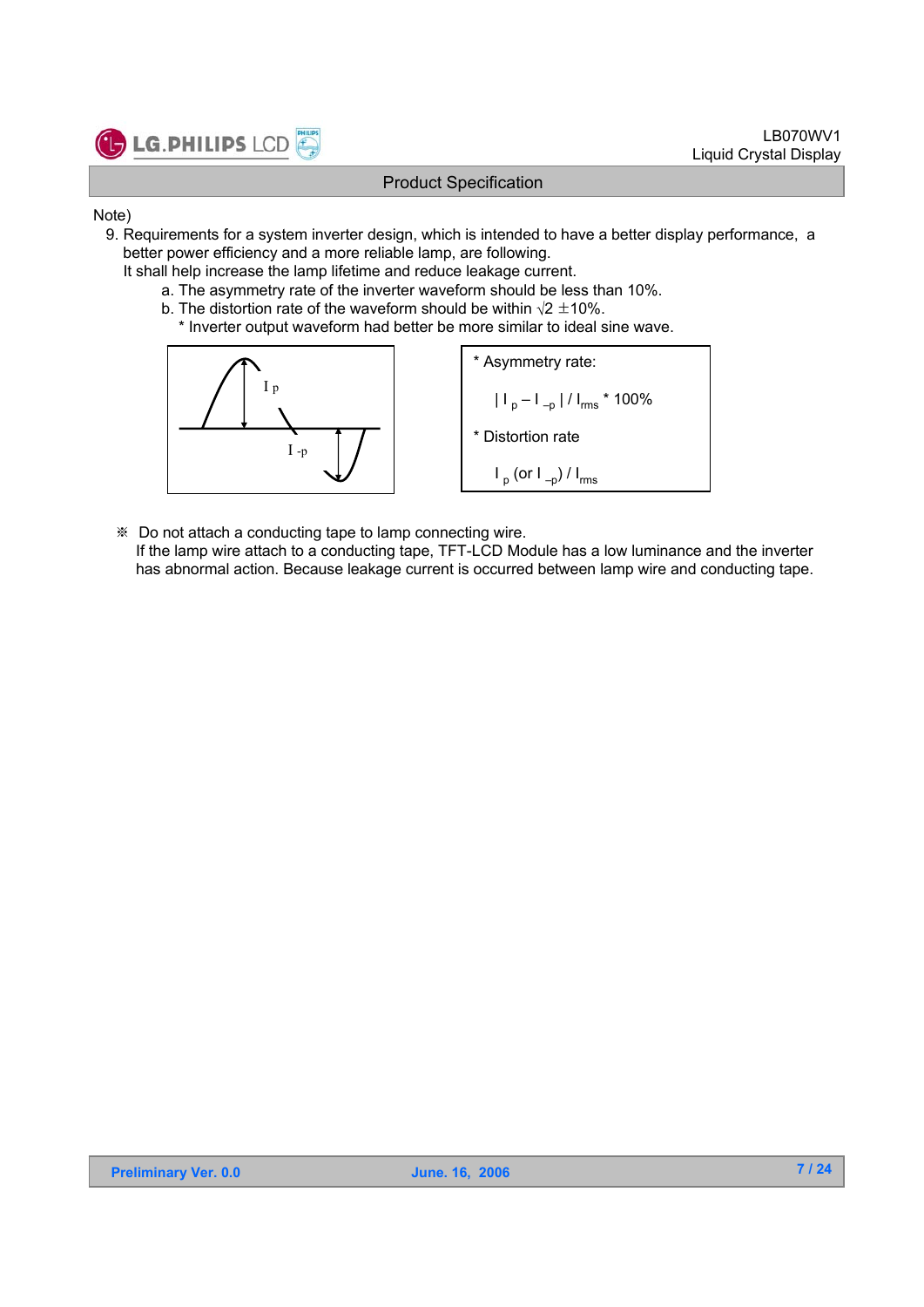

- Note)
	- 9. Requirements for a system inverter design, which is intended to have a better display performance, a better power efficiency and a more reliable lamp, are following.
		- It shall help increase the lamp lifetime and reduce leakage current.
			- a. The asymmetry rate of the inverter waveform should be less than 10%.
			- b. The distortion rate of the waveform should be within  $\sqrt{2} \pm 10\%$ .
				- \* Inverter output waveform had better be more similar to ideal sine wave.



- Do not attach a conducting tape to lamp connecting wire.
	- If the lamp wire attach to a conducting tape, TFT-LCD Module has a low luminance and the inverter has abnormal action. Because leakage current is occurred between lamp wire and conducting tape.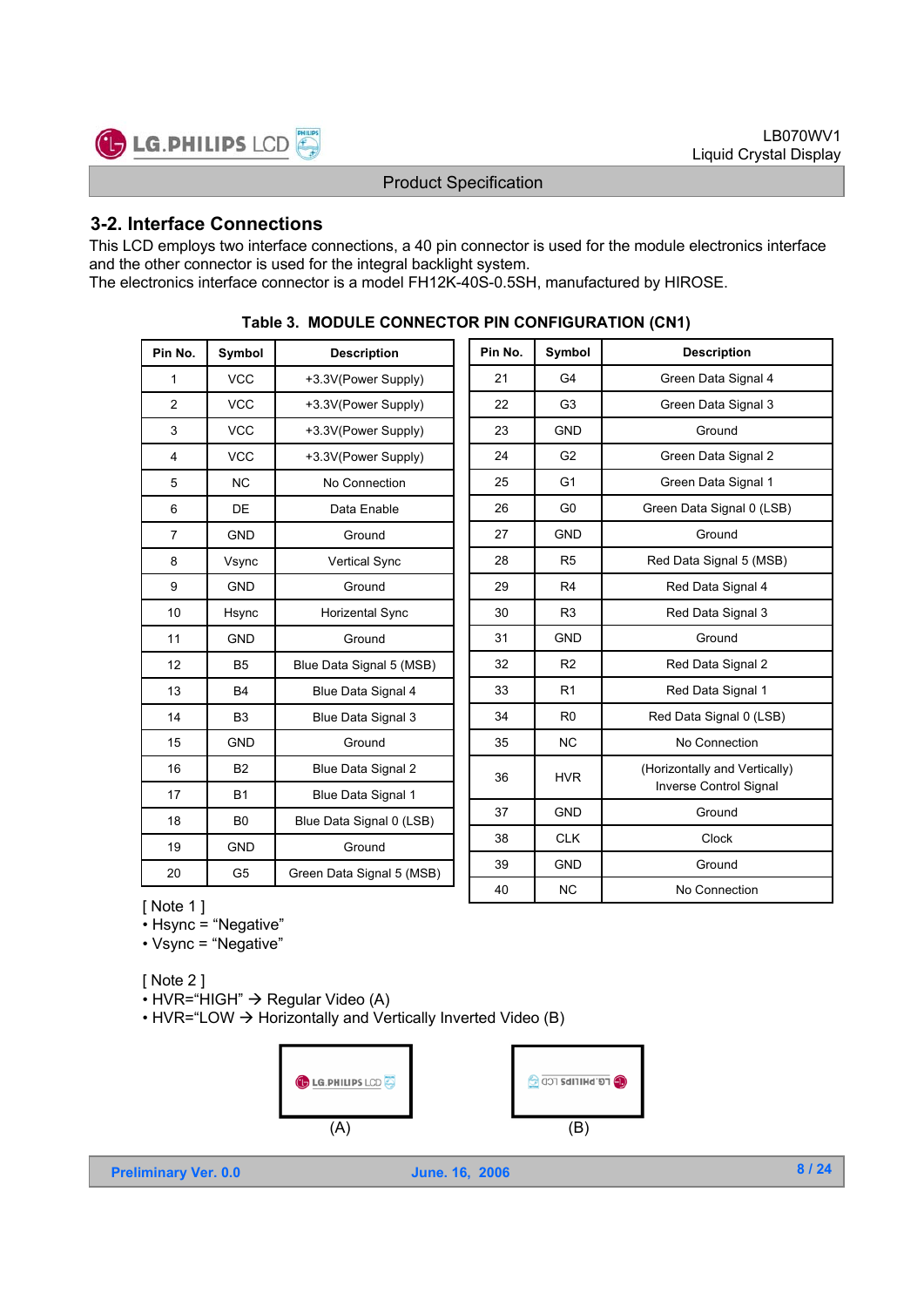

#### **3-2. Interface Connections**

This LCD employs two interface connections, a 40 pin connector is used for the module electronics interface and the other connector is used for the integral backlight system. The electronics interface connector is a model FH12K-40S-0.5SH, manufactured by HIROSE.

| Pin No.        | Symbol         | <b>Description</b>        | Pin No. | Symbol         | <b>Description</b>            |
|----------------|----------------|---------------------------|---------|----------------|-------------------------------|
| 1              | <b>VCC</b>     | +3.3V(Power Supply)       | 21      | G4             | Green Data Signal 4           |
| $\overline{2}$ | <b>VCC</b>     | +3.3V(Power Supply)       | 22      | G <sub>3</sub> | Green Data Signal 3           |
| 3              | <b>VCC</b>     | +3.3V(Power Supply)       | 23      | <b>GND</b>     | Ground                        |
| 4              | <b>VCC</b>     | +3.3V(Power Supply)       | 24      | G <sub>2</sub> | Green Data Signal 2           |
| 5              | <b>NC</b>      | No Connection             | 25      | G <sub>1</sub> | Green Data Signal 1           |
| 6              | <b>DE</b>      | Data Enable               | 26      | G <sub>0</sub> | Green Data Signal 0 (LSB)     |
| $\overline{7}$ | <b>GND</b>     | Ground                    | 27      | <b>GND</b>     | Ground                        |
| 8              | Vsync          | Vertical Sync             | 28      | R <sub>5</sub> | Red Data Signal 5 (MSB)       |
| 9              | <b>GND</b>     | Ground                    | 29      | R4             | Red Data Signal 4             |
| 10             | Hsync          | Horizental Sync           | 30      | R <sub>3</sub> | Red Data Signal 3             |
| 11             | <b>GND</b>     | Ground                    | 31      | <b>GND</b>     | Ground                        |
| 12             | <b>B5</b>      | Blue Data Signal 5 (MSB)  | 32      | R <sub>2</sub> | Red Data Signal 2             |
| 13             | B <sub>4</sub> | Blue Data Signal 4        | 33      | R <sub>1</sub> | Red Data Signal 1             |
| 14             | B <sub>3</sub> | Blue Data Signal 3        | 34      | R <sub>0</sub> | Red Data Signal 0 (LSB)       |
| 15             | <b>GND</b>     | Ground                    | 35      | <b>NC</b>      | No Connection                 |
| 16             | <b>B2</b>      | Blue Data Signal 2        | 36      | <b>HVR</b>     | (Horizontally and Vertically) |
| 17             | <b>B1</b>      | Blue Data Signal 1        |         |                | Inverse Control Signal        |
| 18             | B <sub>0</sub> | Blue Data Signal 0 (LSB)  | 37      | <b>GND</b>     | Ground                        |
| 19             | <b>GND</b>     | Ground                    | 38      | <b>CLK</b>     | Clock                         |
| 20             | G5             | Green Data Signal 5 (MSB) | 39      | <b>GND</b>     | Ground                        |
| .              |                |                           | 40      | <b>NC</b>      | No Connection                 |

**Table 3. MODULE CONNECTOR PIN CONFIGURATION (CN1)**

[ Note 1 ]

• Hsync = "Negative"

• Vsync = "Negative"

[ Note 2 ]

 $\cdot$  HVR="HIGH"  $\rightarrow$  Regular Video (A)

• HVR="LOW  $\rightarrow$  Horizontally and Vertically Inverted Video (B)

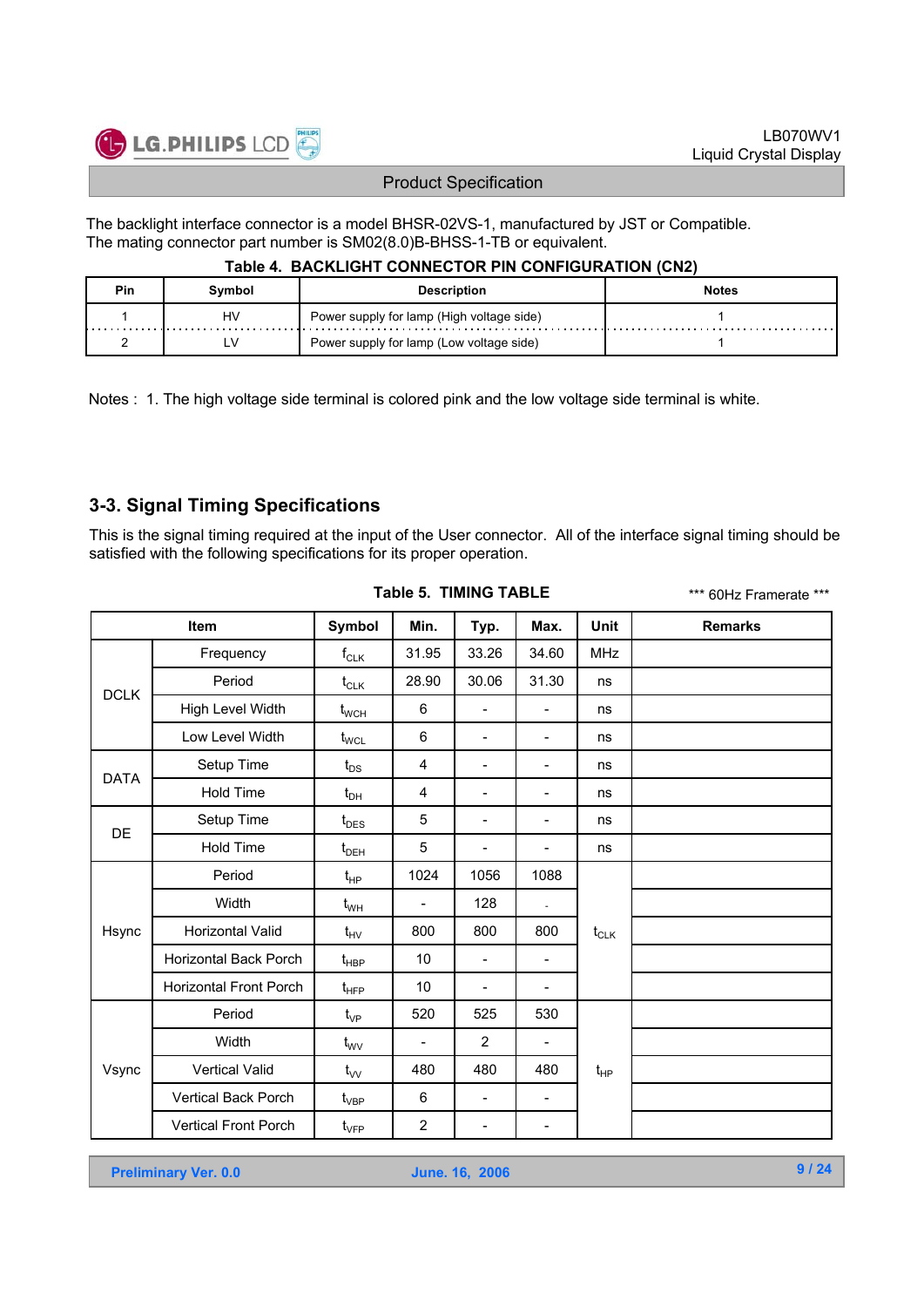

The backlight interface connector is a model BHSR-02VS-1, manufactured by JST or Compatible. The mating connector part number is SM02(8.0)B-BHSS-1-TB or equivalent.

#### **Table 4. BACKLIGHT CONNECTOR PIN CONFIGURATION (CN2)**

| Pin | Svmbol | <b>Description</b>                        | <b>Notes</b> |
|-----|--------|-------------------------------------------|--------------|
|     | H٧     | Power supply for lamp (High voltage side) |              |
|     | ∟V     | Power supply for lamp (Low voltage side)  |              |

Notes : 1. The high voltage side terminal is colored pink and the low voltage side terminal is white.

### **3-3. Signal Timing Specifications**

This is the signal timing required at the input of the User connector. All of the interface signal timing should be satisfied with the following specifications for its proper operation.

| Item        |                               | Symbol                        | Min.                     | Typ.                     | Max.                     | Unit       | <b>Remarks</b> |
|-------------|-------------------------------|-------------------------------|--------------------------|--------------------------|--------------------------|------------|----------------|
|             | Frequency                     | $f_{CLK}$                     | 31.95                    | 33.26                    | 34.60                    | <b>MHz</b> |                |
|             | Period                        | $t_{CLK}$                     | 28.90                    | 30.06                    | 31.30                    | ns         |                |
| <b>DCLK</b> | High Level Width              | $t_{\text{WCH}}$              | 6                        | $\overline{\phantom{a}}$ | $\overline{\phantom{a}}$ | ns         |                |
|             | Low Level Width               | $t_{\text{WCL}}$              | 6                        | $\overline{\phantom{a}}$ | $\overline{\phantom{a}}$ | ns         |                |
| <b>DATA</b> | Setup Time                    | $t_{DS}$                      | $\overline{4}$           | $\overline{\phantom{a}}$ | $\overline{\phantom{a}}$ | ns         |                |
|             | <b>Hold Time</b>              | $t_{DH}$                      | 4                        | $\overline{\phantom{a}}$ | $\overline{\phantom{a}}$ | ns         |                |
| DE          | Setup Time                    | $t_{\text{DES}}$              | 5                        | $\overline{\phantom{a}}$ | $\overline{\phantom{a}}$ | ns         |                |
|             | <b>Hold Time</b>              | $t_{DEH}$                     | 5                        | $\overline{\phantom{a}}$ | $\overline{\phantom{a}}$ | ns         |                |
|             | Period                        | $t_{HP}$                      | 1024                     | 1056                     | 1088                     |            |                |
|             | Width                         | $t_{WH}$                      | $\overline{a}$           | 128                      |                          |            |                |
| Hsync       | Horizontal Valid              | $t_{HV}$                      | 800                      | 800                      | 800                      | $t_{CLK}$  |                |
|             | Horizontal Back Porch         | $\mathfrak{t}_{\texttt{HBP}}$ | 10                       | $\overline{\phantom{a}}$ | $\overline{\phantom{a}}$ |            |                |
|             | <b>Horizontal Front Porch</b> | $t_{\text{HFP}}$              | 10                       | $\overline{\phantom{a}}$ | $\overline{\phantom{a}}$ |            |                |
|             | Period                        | $t_{VP}$                      | 520                      | 525                      | 530                      |            |                |
|             | Width                         | $t_{\rm WV}$                  | $\overline{\phantom{a}}$ | $\overline{2}$           | $\blacksquare$           |            |                |
| Vsync       | <b>Vertical Valid</b>         | $t_{VV}$                      | 480                      | 480                      | 480                      | $t_{HP}$   |                |
|             | Vertical Back Porch           | $t_{\rm VBP}$                 | 6                        | $\overline{\phantom{a}}$ | $\overline{\phantom{a}}$ |            |                |
|             | <b>Vertical Front Porch</b>   | $\mathfrak{t}_{\mathsf{VFP}}$ | $\overline{2}$           | $\overline{\phantom{a}}$ | $\overline{\phantom{a}}$ |            |                |

**Table 5. TIMING TABLE**

\*\*\* 60Hz Framerate \*\*\*

**Preliminary Ver. 0.0 June. 16, 2006**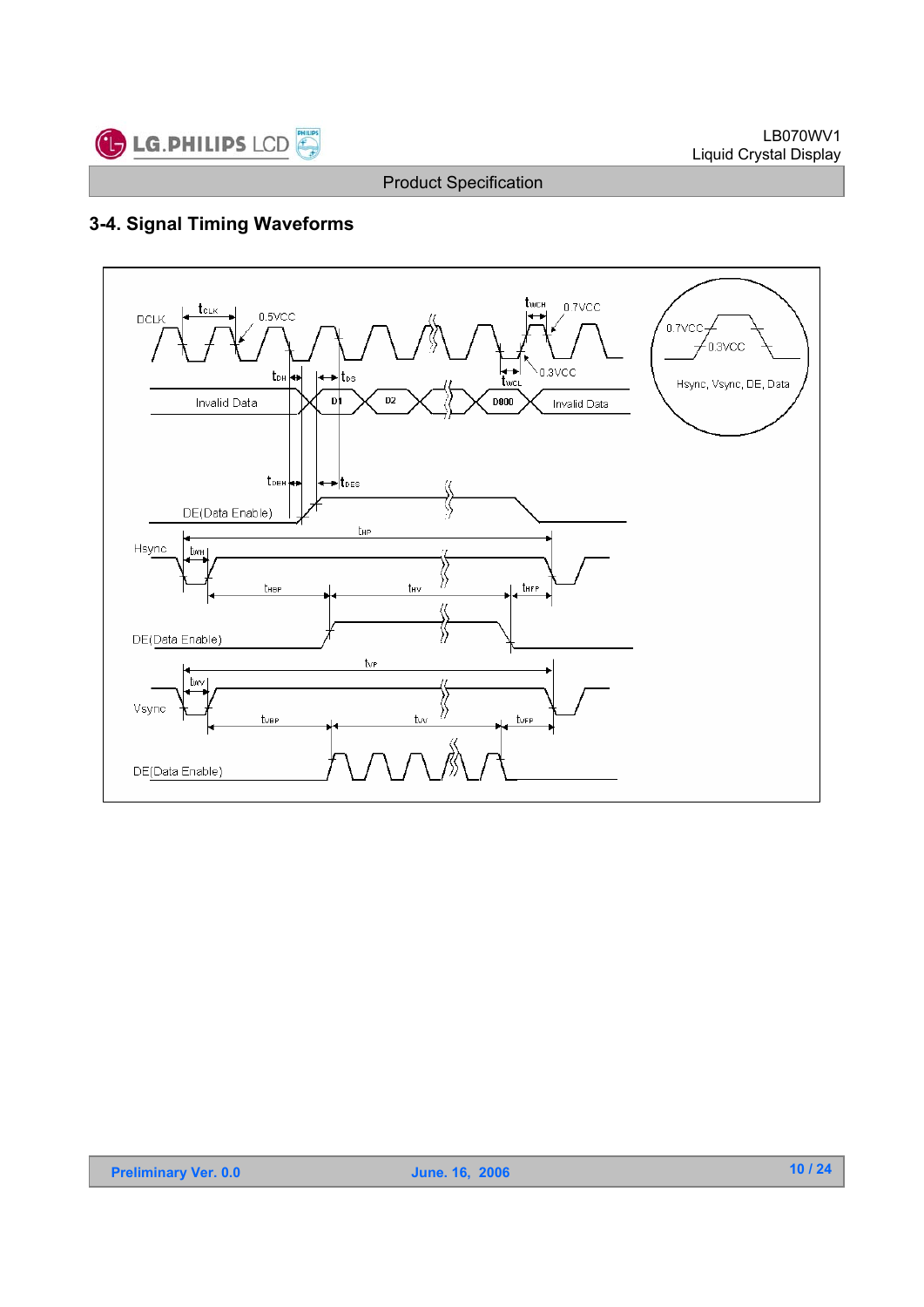

## **3-4. Signal Timing Waveforms**

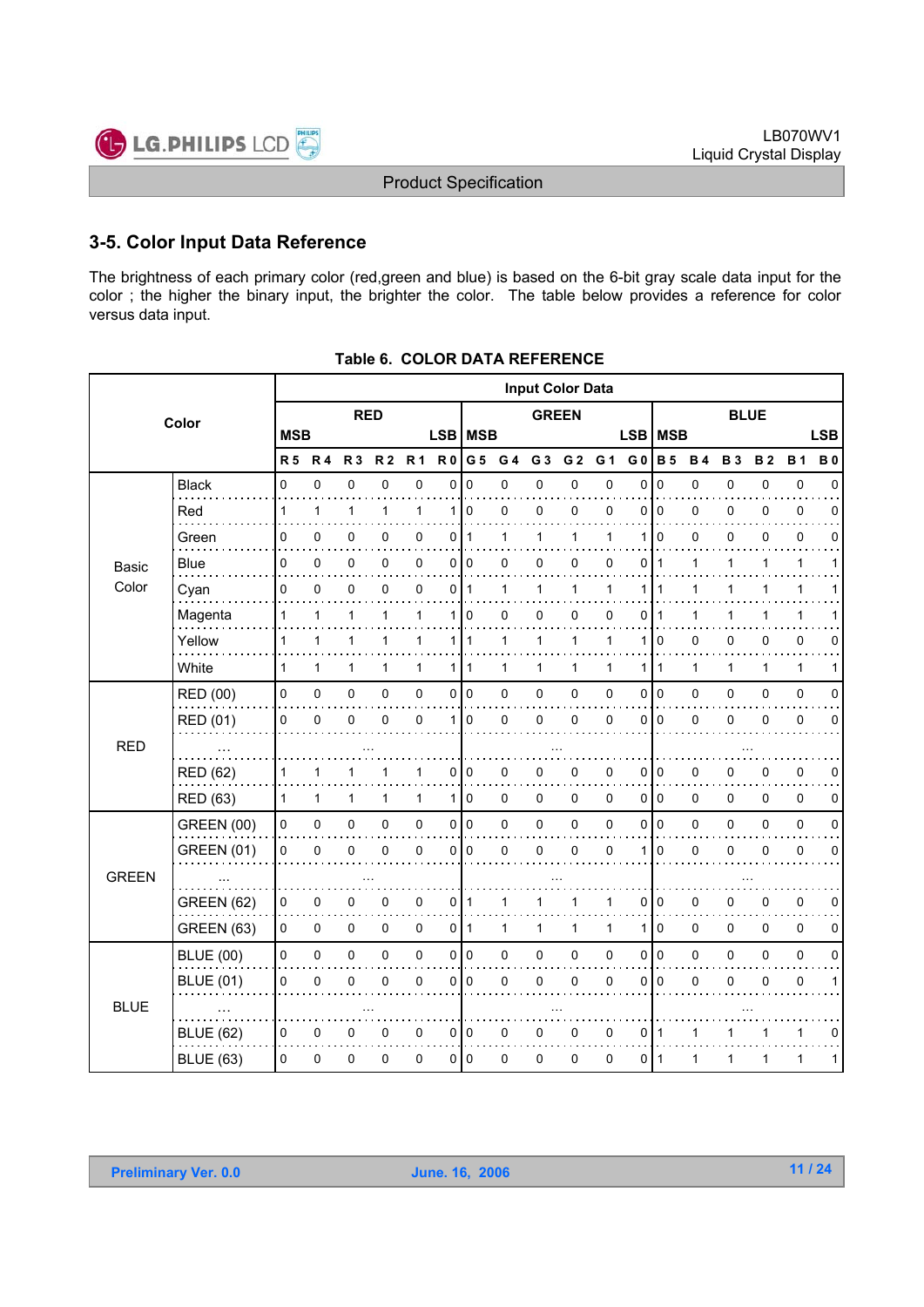

### **3-5. Color Input Data Reference**

The brightness of each primary color (red,green and blue) is based on the 6-bit gray scale data input for the color ; the higher the binary input, the brighter the color. The table below provides a reference for color versus data input.

|              |                   |                |              |                |                |                |                |                         | <b>Input Color Data</b> |                |                |                          |                |                |              |             |              |              |             |
|--------------|-------------------|----------------|--------------|----------------|----------------|----------------|----------------|-------------------------|-------------------------|----------------|----------------|--------------------------|----------------|----------------|--------------|-------------|--------------|--------------|-------------|
|              | Color             |                |              | <b>RED</b>     |                |                |                |                         |                         | <b>GREEN</b>   |                |                          |                |                |              | <b>BLUE</b> |              |              |             |
|              |                   | <b>MSB</b>     |              |                |                |                |                | LSB   MSB<br><b>LSB</b> |                         |                |                | <b>MSB</b><br><b>LSB</b> |                |                |              |             |              |              |             |
|              |                   | R <sub>5</sub> | <b>R4</b>    | R <sub>3</sub> | R <sub>2</sub> | R <sub>1</sub> | R <sub>0</sub> | G <sub>5</sub>          | G <sub>4</sub>          | G <sub>3</sub> | G <sub>2</sub> | G <sub>1</sub>           | G <sub>0</sub> | <b>B</b> 5     | <b>B4</b>    | <b>B3</b>   | <b>B2</b>    | <b>B1</b>    | <b>B0</b>   |
|              | <b>Black</b>      | 0              | 0            | $\mathbf 0$    | $\mathbf 0$    | 0              | 0              | $\Omega$                | 0                       | 0              | 0              | 0                        | $\mathbf{0}$   | $\mathbf 0$    | 0            | 0           | 0            | $\pmb{0}$    | $\Omega$    |
|              | Red               | $\mathbf{1}$   | 1            | 1              | 1              | $\mathbf{1}$   | 1              | $\Omega$                | 0                       | 0              | 0              | 0                        | $\Omega$       | $\Omega$       | 0            | 0           | 0            | 0            | $\Omega$    |
|              | Green             | 0              | $\mathbf 0$  | 0              | 0              | 0              | 0              | -1                      | 1                       | 1              | $\mathbf{1}$   | 1                        | 1              | $\Omega$       | 0            | 0           | 0            | $\pmb{0}$    | 0           |
| Basic        | Blue              | 0              | 0            | 0              | 0              | 0              | 0              | $\overline{0}$          | 0                       | 0              | 0              | 0                        | 0              | 1              | 1            | 1           | 1            | $\mathbf{1}$ | 1           |
| Color        | Cyan              | 0              | 0            | 0              | 0              | 0              | 0              | 1                       | 1                       | 1              | 1              | 1                        | 1              | 1              | 1            | 1           | 1            | $\mathbf{1}$ |             |
|              | Magenta           | 1              | 1            | 1              | 1              | 1              | 1              | 0                       | 0                       | 0              | 0              | 0                        | 0              | 1              |              | 1           |              | 1            |             |
|              | Yellow            | 1              | $\mathbf{1}$ | 1              | 1              | 1              | 1 <sup>1</sup> | $\mathbf{1}$            | 1                       | 1              | 1              | 1                        | 1              | 0              | 0            | 0           | 0            | 0            | 0           |
|              | White             | $\mathbf{1}$   | $\mathbf{1}$ | 1              | 1              | $\mathbf{1}$   | 1 <sup>1</sup> | $\vert$ 1               | $\mathbf{1}$            | $\mathbf{1}$   | 1              | $\mathbf{1}$             | 1              | $\overline{1}$ | $\mathbf{1}$ | 1           | $\mathbf{1}$ | $\mathbf{1}$ | 1           |
|              | RED (00)          | 0              | 0            | $\pmb{0}$      | 0              | 0              | $\overline{0}$ | $\overline{0}$          | 0                       | $\pmb{0}$      | 0              | 0                        | 0              | $\overline{0}$ | 0            | 0           | 0            | $\pmb{0}$    | $\mathbf 0$ |
|              | RED (01)          | 0              | 0            | 0              | $\mathbf{0}$   | 0              | $\mathbf{1}$   | $\Omega$                | 0                       | $\mathbf 0$    | 0              | 0                        | $\Omega$       | $\overline{0}$ | 0            | 0           | 0            | 0            | $\Omega$    |
| <b>RED</b>   |                   |                |              |                |                |                |                |                         |                         |                |                |                          |                |                |              |             |              |              |             |
|              | <b>RED (62)</b>   | 1              | 1            | 1              |                | 1              | 0              | 0                       | 0                       | 0              | 0              | 0                        | 0              | 0              | 0            | 0           | 0            | 0            | 0           |
|              | <b>RED (63)</b>   | 1              | $\mathbf{1}$ | 1              | 1              | $\mathbf{1}$   | 1 <sup>1</sup> | 0                       | 0                       | $\mathbf 0$    | 0              | $\Omega$                 | 0              | l o            | 0            | 0           | 0            | 0            | 0           |
|              | <b>GREEN (00)</b> | 0              | 0            | 0              | 0              | 0              | $\overline{0}$ | $\overline{0}$          | 0                       | $\pmb{0}$      | 0              | $\pmb{0}$                | 0              | $\overline{0}$ | 0            | 0           | 0            | $\pmb{0}$    | $\pmb{0}$   |
|              | <b>GREEN (01)</b> | 0              | $\mathbf 0$  | 0              | $\mathbf{0}$   | $\mathbf 0$    | 0              | $\Omega$                | 0                       | $\mathbf 0$    | 0              | 0                        |                | $\mathbf{0}$   | 0            | 0           | 0            | $\pmb{0}$    | $\mathbf 0$ |
| <b>GREEN</b> |                   |                |              |                |                |                |                |                         |                         |                |                |                          |                |                |              |             |              |              |             |
|              | <b>GREEN (62)</b> | 0              | 0            | 0              | 0              | 0              | 0              | $\mathbf 1$             | 1                       | 1              | 1              | 1                        | 0              | $\overline{0}$ | 0            | 0           | 0            | $\pmb{0}$    | 0           |
|              | GREEN (63)        | 0              | 0            | 0              | 0              | 0              | 0              | $\mathbf{1}$            | 1                       | 1              | 1              | 1                        | 1              | $\overline{0}$ | 0            | 0           | 0            | 0            | 0           |
|              | <b>BLUE (00)</b>  | 0              | 0            | 0              | 0              | 0              |                | 0 0                     | 0                       | $\pmb{0}$      | 0              | 0                        | 0              | $\overline{0}$ | 0            | 0           | 0            | $\pmb{0}$    | 0           |
|              | <b>BLUE (01)</b>  | 0              | $\mathbf 0$  | 0              | 0              | 0              | 0              | $\mathbf 0$             | 0                       | $\mathbf 0$    | 0              | 0                        | 0              | $\overline{0}$ | 0            | 0           | 0            | $\pmb{0}$    | 1           |
| <b>BLUE</b>  |                   |                |              |                |                |                |                |                         |                         |                |                |                          |                |                |              |             |              |              |             |
|              | <b>BLUE (62)</b>  | 0              | 0            | 0              | 0              | 0              | $\overline{0}$ | 0                       | 0                       | 0              | 0              | 0                        | 0              | $\overline{1}$ | 1            | 1           |              | 1            | 0           |
|              | <b>BLUE (63)</b>  | $\Omega$       | 0            | 0              | 0              | 0              |                | 0   0                   | 0                       | 0              | 0              | 0                        | $\Omega$       | $\vert$ 1      | 1            | 1           | 1            | 1            | 1           |

|  | Table 6. COLOR DATA REFERENCE |
|--|-------------------------------|
|  |                               |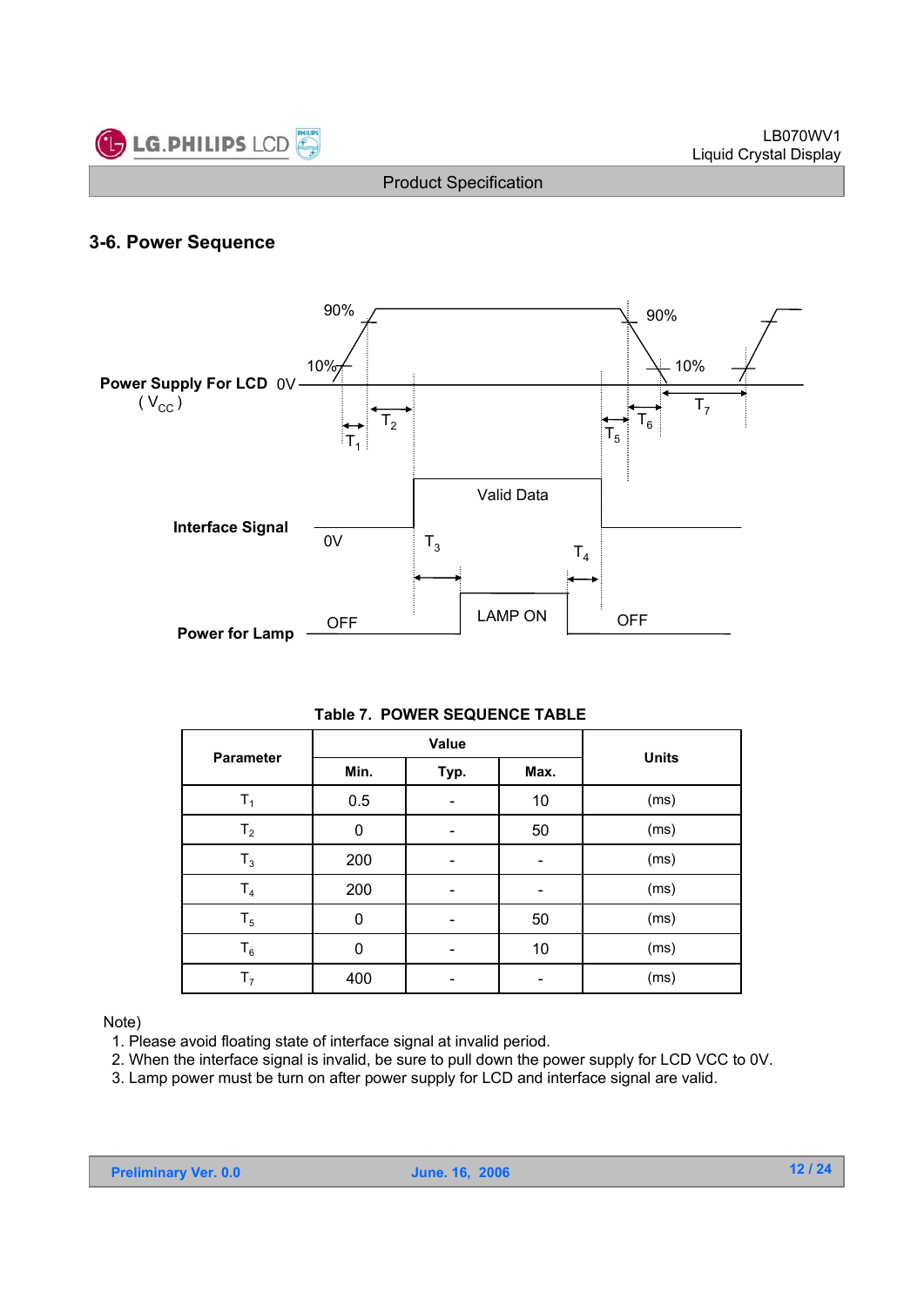

### **3-6. Power Sequence**



#### **Table 7. POWER SEQUENCE TABLE**

|                  |      | Value |      | <b>Units</b> |  |  |
|------------------|------|-------|------|--------------|--|--|
| <b>Parameter</b> | Min. | Typ.  | Max. |              |  |  |
| T <sub>1</sub>   | 0.5  |       | 10   | (ms)         |  |  |
| T <sub>2</sub>   | 0    |       | 50   | (ms)         |  |  |
| $T_3$            | 200  |       |      | (ms)         |  |  |
| T <sub>4</sub>   | 200  |       |      | (ms)         |  |  |
| $T_5$            | 0    |       | 50   | (ms)         |  |  |
| $T_6$            | 0    |       | 10   | (ms)         |  |  |
| T <sub>7</sub>   | 400  |       |      | (ms)         |  |  |

#### Note)

- 1. Please avoid floating state of interface signal at invalid period.
- 2. When the interface signal is invalid, be sure to pull down the power supply for LCD VCC to 0V.
- 3. Lamp power must be turn on after power supply for LCD and interface signal are valid.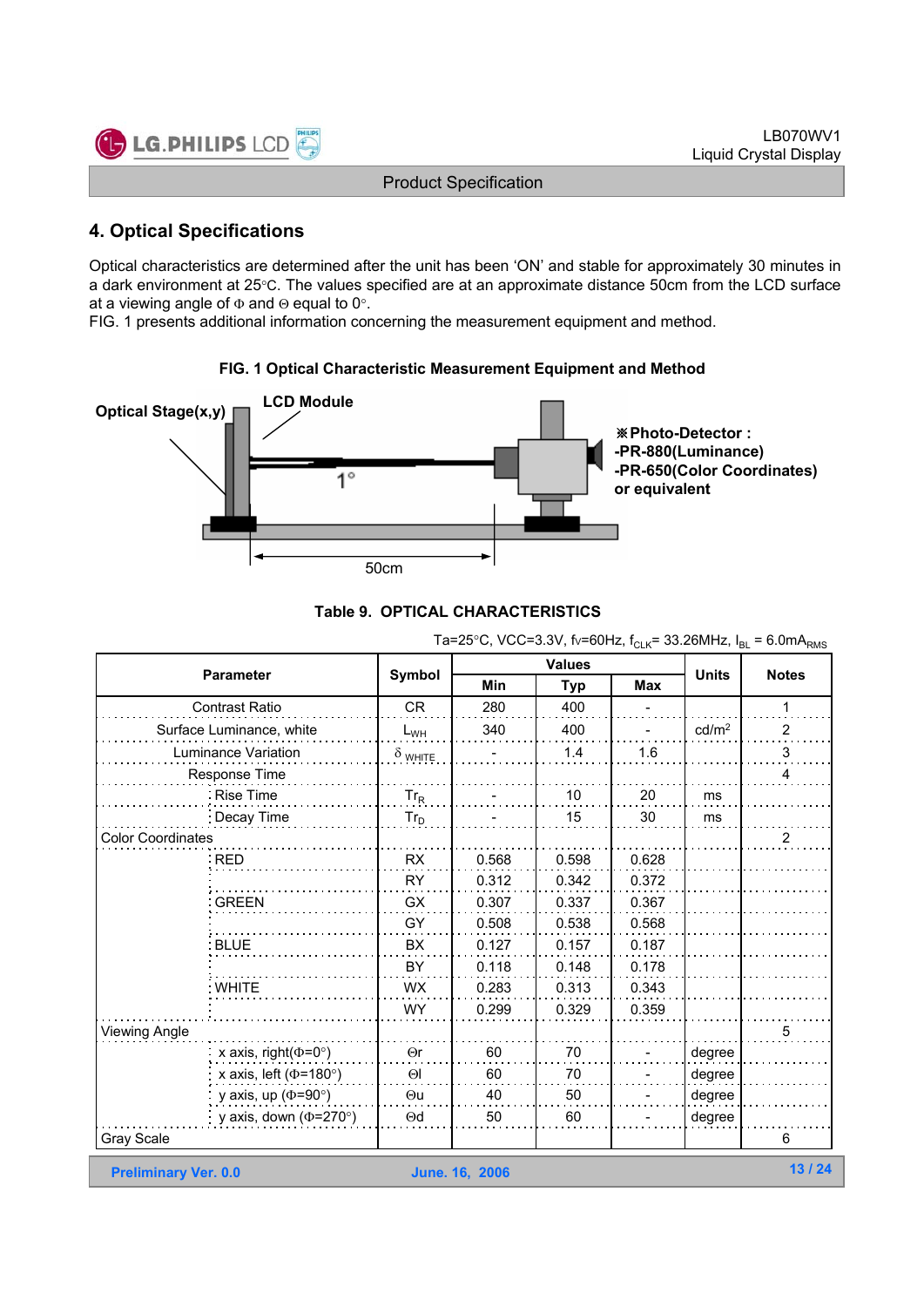

### **4. Optical Specifications**

Optical characteristics are determined after the unit has been 'ON' and stable for approximately 30 minutes in a dark environment at 25°C. The values specified are at an approximate distance 50cm from the LCD surface at a viewing angle of  $\Phi$  and  $\Theta$  equal to 0°.

FIG. 1 presents additional information concerning the measurement equipment and method.





|  | Table 9. OPTICAL CHARACTERISTICS |  |
|--|----------------------------------|--|
|  |                                  |  |

| Ta=25°C, VCC=3.3V, fv=60Hz, f <sub>CLK</sub> = 33.26MHz, $I_{BL}$ = 6.0mA <sub>RMS</sub> |                |                       |               |            |                   |                |  |  |  |  |  |
|------------------------------------------------------------------------------------------|----------------|-----------------------|---------------|------------|-------------------|----------------|--|--|--|--|--|
| <b>Parameter</b>                                                                         | Symbol         |                       | <b>Values</b> |            | <b>Units</b>      | <b>Notes</b>   |  |  |  |  |  |
|                                                                                          |                | Min                   | <b>Typ</b>    | <b>Max</b> |                   |                |  |  |  |  |  |
| <b>Contrast Ratio</b>                                                                    | <b>CR</b>      | 280                   | 400           |            |                   | 1              |  |  |  |  |  |
| Surface Luminance, white                                                                 | $L_{WH}$       | 340                   | 400           |            | cd/m <sup>2</sup> | 2              |  |  |  |  |  |
| Luminance Variation                                                                      | $\delta$ white |                       | 1.4           | 1.6        |                   | 3              |  |  |  |  |  |
| Response Time                                                                            |                |                       |               |            |                   | 4              |  |  |  |  |  |
| Rise Time                                                                                | $Tr_R$         |                       | 10            | 20         | ms                |                |  |  |  |  |  |
| Decay Time                                                                               | $Tr_D$         |                       | 15            | 30         | ms                |                |  |  |  |  |  |
| <b>Color Coordinates</b>                                                                 |                |                       |               |            |                   | $\overline{2}$ |  |  |  |  |  |
| RED                                                                                      | <b>RX</b>      | 0.568                 | 0.598         | 0.628      |                   |                |  |  |  |  |  |
|                                                                                          | <b>RY</b>      | 0.312                 | 0.342         | 0.372      |                   |                |  |  |  |  |  |
| <b>GREEN</b>                                                                             | GX             | 0.307                 | 0.337         | 0.367      |                   |                |  |  |  |  |  |
|                                                                                          | GY             | 0.508                 | 0.538         | 0.568      |                   |                |  |  |  |  |  |
| <b>BLUE</b>                                                                              | BX             | 0.127                 | 0.157         | 0.187      |                   |                |  |  |  |  |  |
|                                                                                          | BY             | 0.118                 | 0.148         | 0.178      |                   |                |  |  |  |  |  |
| : WHITE                                                                                  | <b>WX</b>      | 0.283                 | 0.313         | 0.343      |                   |                |  |  |  |  |  |
|                                                                                          | WY.            | 0.299                 | 0.329         | 0.359      |                   |                |  |  |  |  |  |
| <b>Viewing Angle</b>                                                                     |                |                       |               |            |                   | 5              |  |  |  |  |  |
| x axis, right( $(\Phi = 0^{\circ})$                                                      | $\Theta$ r     | 60                    | 70            |            | degree            |                |  |  |  |  |  |
| x axis, left ( $\Phi$ =180°)                                                             | $\Theta$       | 60                    | 70            |            | degree            |                |  |  |  |  |  |
| y axis, up ( $\Phi$ =90°)                                                                | $\Theta$ u     | 40                    | 50            |            | degree            |                |  |  |  |  |  |
| y axis, down ( $\Phi$ =270°)                                                             | $\Theta$ d     | 50                    | 60            |            | degree            |                |  |  |  |  |  |
| Gray Scale                                                                               |                |                       |               |            |                   | 6              |  |  |  |  |  |
| <b>Preliminary Ver. 0.0</b>                                                              |                | <b>June. 16, 2006</b> |               |            |                   | 13/24          |  |  |  |  |  |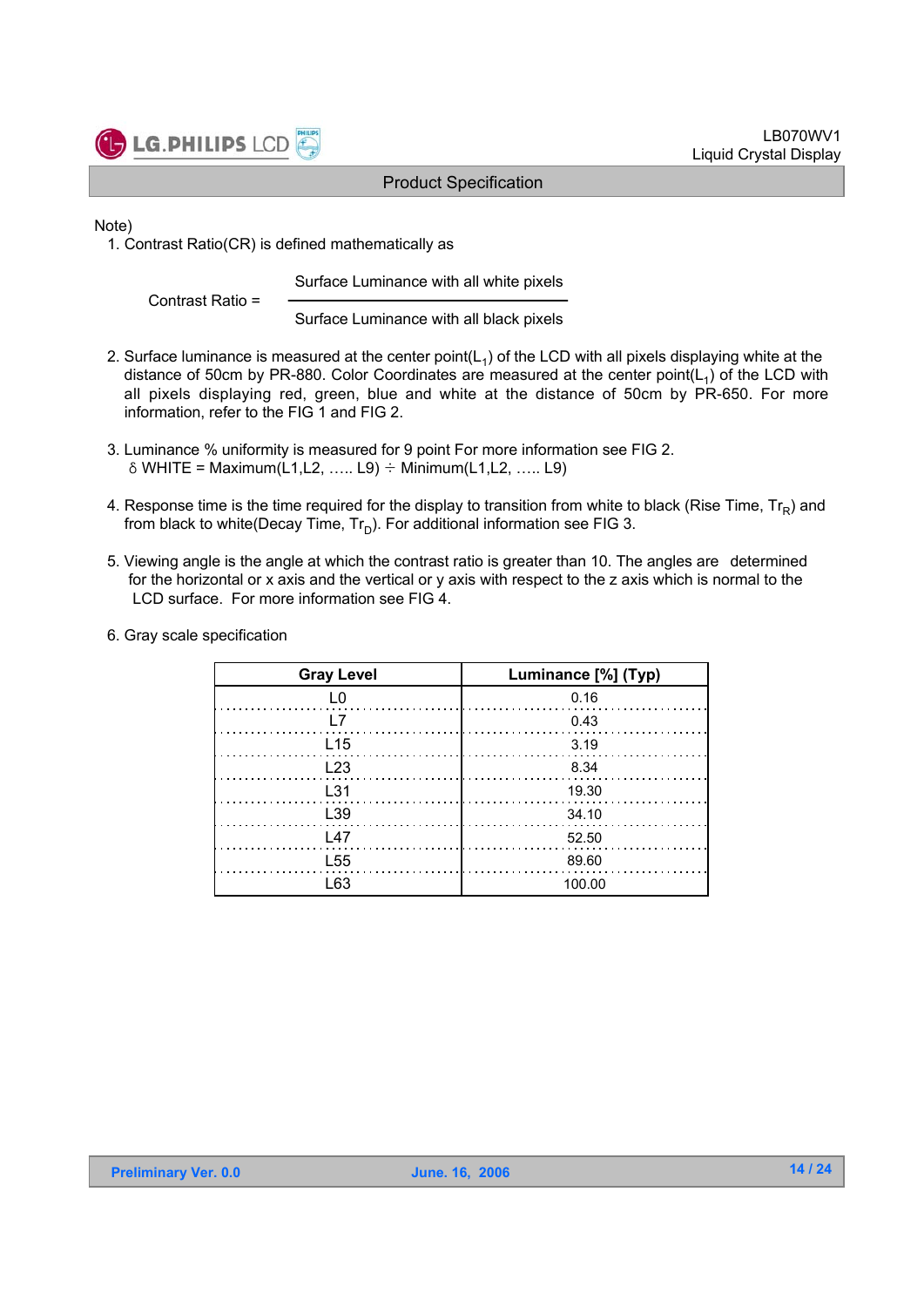

Note)

1. Contrast Ratio(CR) is defined mathematically as

Surface Luminance with all white pixels

Contrast Ratio =

Surface Luminance with all black pixels

- 2. Surface luminance is measured at the center point( $L_1$ ) of the LCD with all pixels displaying white at the distance of 50cm by PR-880. Color Coordinates are measured at the center point( $L<sub>1</sub>$ ) of the LCD with all pixels displaying red, green, blue and white at the distance of 50cm by PR-650. For more information, refer to the FIG 1 and FIG 2.
- 3. Luminance % uniformity is measured for 9 point For more information see FIG 2.  $\delta$  WHITE = Maximum(L1,L2, ….. L9)  $\div$  Minimum(L1,L2, ….. L9)
- 4. Response time is the time required for the display to transition from white to black (Rise Time,  $Tr_R$ ) and from black to white(Decay Time,  $Tr_D$ ). For additional information see FIG 3.
- 5. Viewing angle is the angle at which the contrast ratio is greater than 10. The angles are determined for the horizontal or x axis and the vertical or y axis with respect to the z axis which is normal to the LCD surface. For more information see FIG 4.
- 6. Gray scale specification

| <b>Gray Level</b> | Luminance [%] (Typ) |
|-------------------|---------------------|
| L0                | 0.16                |
| I 7               | 0.43                |
| L <sub>15</sub>   | 3.19                |
| L <sub>23</sub>   | 8.34                |
| L31               | 19.30               |
| L39               | 34.10               |
| 147               | 52.50               |
| L <sub>55</sub>   | 89.60               |
| I 63              | 100.00              |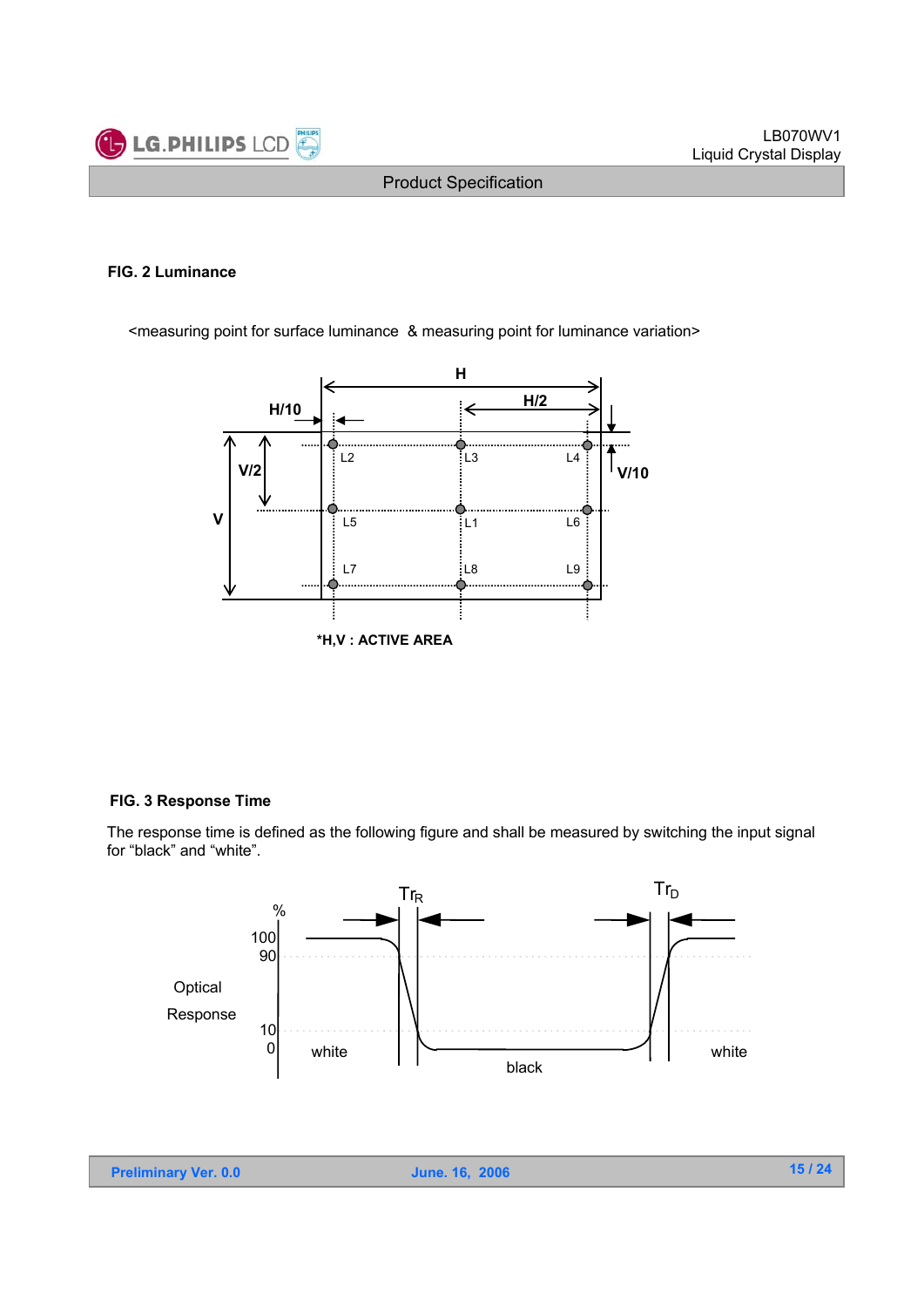

#### **FIG. 2 Luminance**

<measuring point for surface luminance & measuring point for luminance variation>



#### **FIG. 3 Response Time**

The response time is defined as the following figure and shall be measured by switching the input signal for "black" and "white".

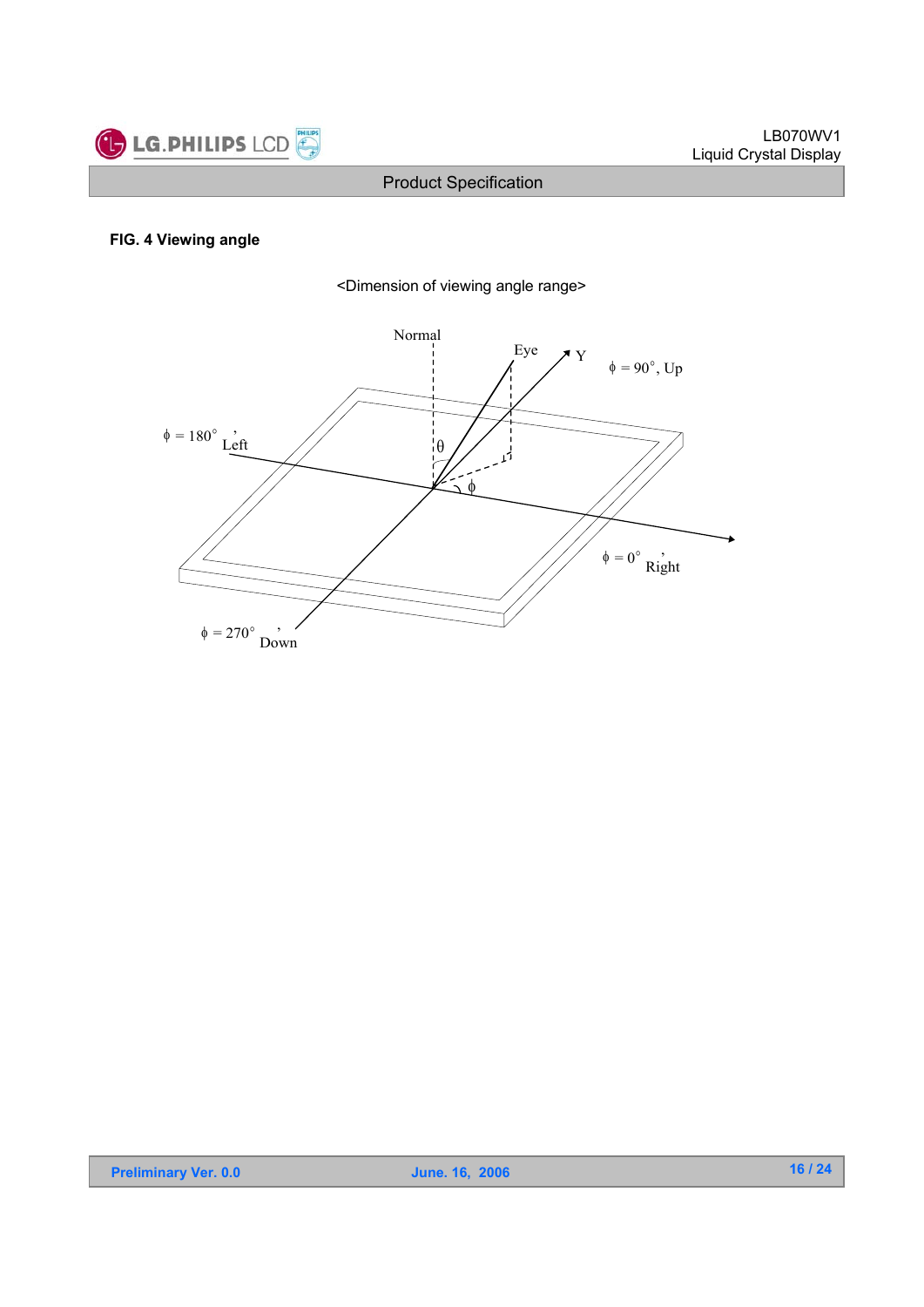

#### **FIG. 4 Viewing angle**



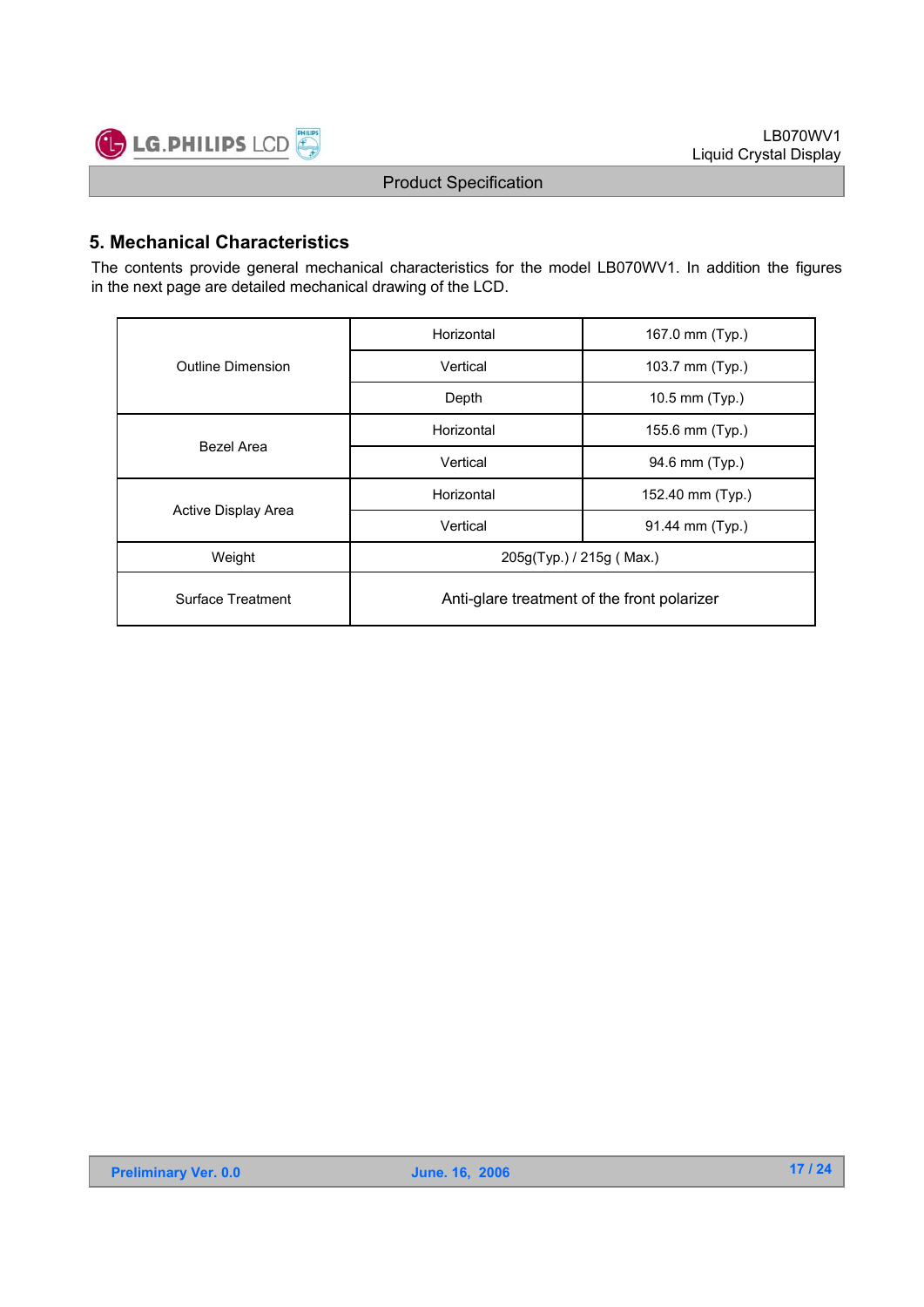

### **5. Mechanical Characteristics**

The contents provide general mechanical characteristics for the model LB070WV1. In addition the figures in the next page are detailed mechanical drawing of the LCD.

|                     | Horizontal                                  | 167.0 mm (Typ.)  |  |  |  |  |
|---------------------|---------------------------------------------|------------------|--|--|--|--|
| Outline Dimension   | Vertical                                    | 103.7 mm (Typ.)  |  |  |  |  |
|                     | Depth                                       | 10.5 mm (Typ.)   |  |  |  |  |
| Bezel Area          | Horizontal                                  | 155.6 mm (Typ.)  |  |  |  |  |
|                     | Vertical                                    | 94.6 mm (Typ.)   |  |  |  |  |
|                     | Horizontal                                  | 152.40 mm (Typ.) |  |  |  |  |
| Active Display Area | Vertical                                    | 91.44 mm (Typ.)  |  |  |  |  |
| Weight              | 205g(Typ.) / 215g (Max.)                    |                  |  |  |  |  |
| Surface Treatment   | Anti-glare treatment of the front polarizer |                  |  |  |  |  |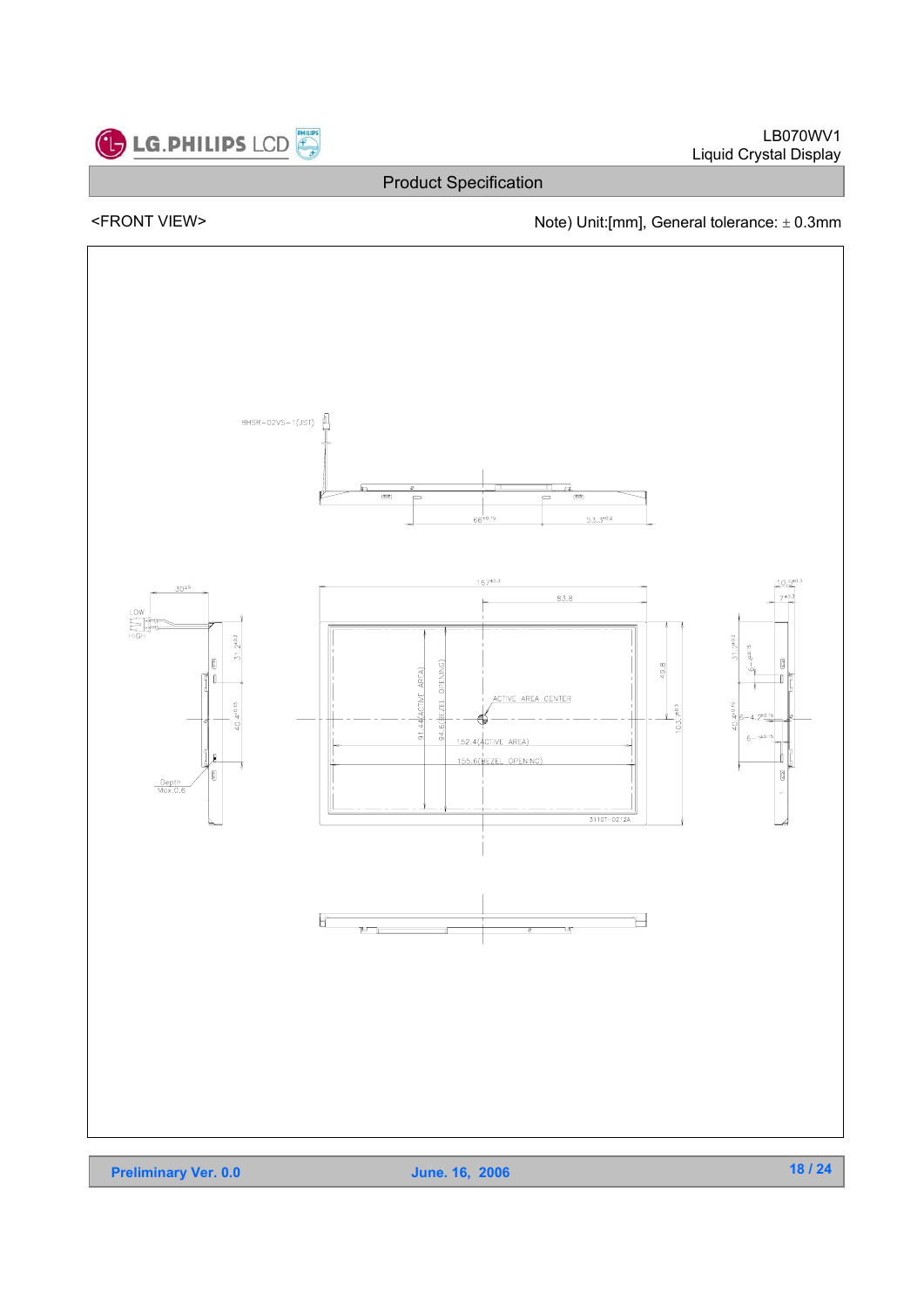

LB070WV1 Liquid Crystal Display

### Product Specification

### <FRONT VIEW>  $\blacksquare$  Note) Unit:[mm], General tolerance:  $\pm$  0.3mm



**Preliminary Ver. 0.0** June. 16, 2006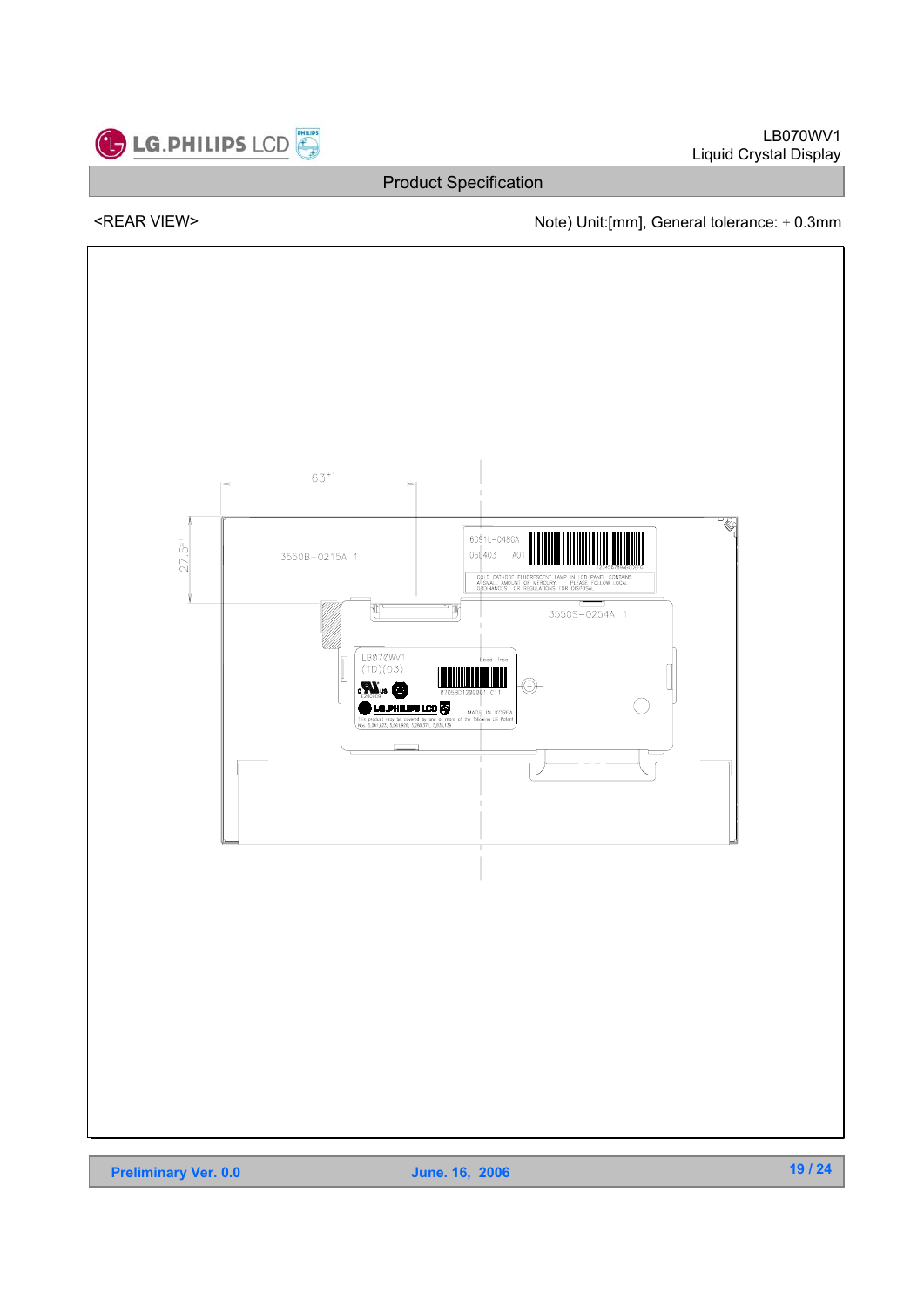

LB070WV1 Liquid Crystal Display

Product Specification

### <REAR VIEW> Note) Unit:[mm], General tolerance:  $\pm$  0.3mm

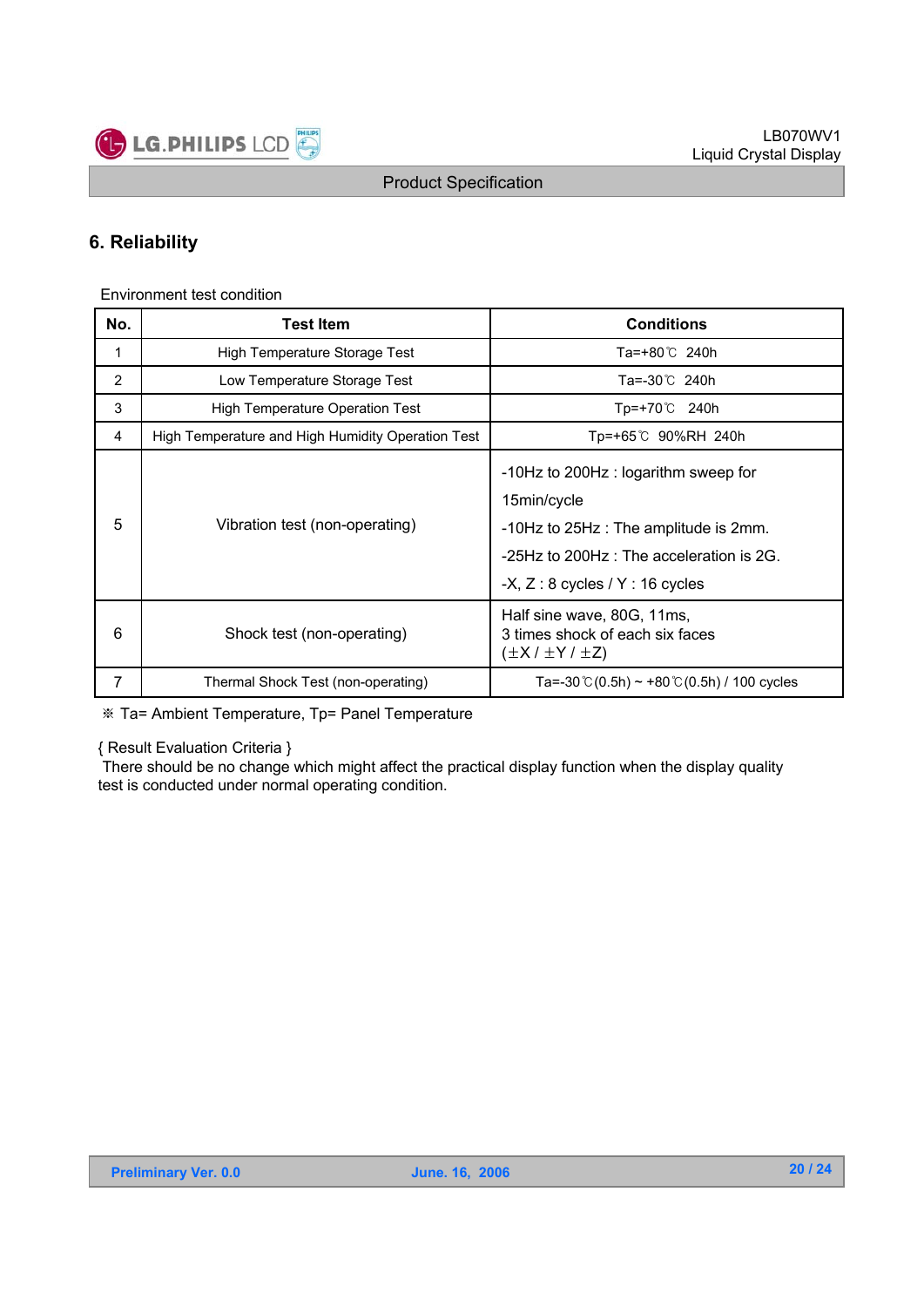

### **6. Reliability**

Environment test condition

| No. | <b>Test Item</b>                                  | <b>Conditions</b>                                                                                                                                                             |
|-----|---------------------------------------------------|-------------------------------------------------------------------------------------------------------------------------------------------------------------------------------|
| 1   | High Temperature Storage Test                     | Ta=+80℃ 240h                                                                                                                                                                  |
| 2   | Low Temperature Storage Test                      | Ta=-30℃ 240h                                                                                                                                                                  |
| 3   | <b>High Temperature Operation Test</b>            | Tp=+70℃ 240h                                                                                                                                                                  |
| 4   | High Temperature and High Humidity Operation Test | Tp=+65℃ 90%RH 240h                                                                                                                                                            |
| 5   | Vibration test (non-operating)                    | -10Hz to 200Hz : logarithm sweep for<br>15min/cycle<br>-10Hz to 25Hz : The amplitude is 2mm.<br>-25Hz to 200Hz : The acceleration is 2G.<br>$-X, Z: 8$ cycles / Y : 16 cycles |
| 6   | Shock test (non-operating)                        | Half sine wave, 80G, 11ms,<br>3 times shock of each six faces<br>$(\pm X / \pm Y / \pm Z)$                                                                                    |
| 7   | Thermal Shock Test (non-operating)                | Ta=-30 °C (0.5h) ~ +80 °C (0.5h) / 100 cycles                                                                                                                                 |

Ta= Ambient Temperature, Tp= Panel Temperature

{ Result Evaluation Criteria }

There should be no change which might affect the practical display function when the display quality test is conducted under normal operating condition.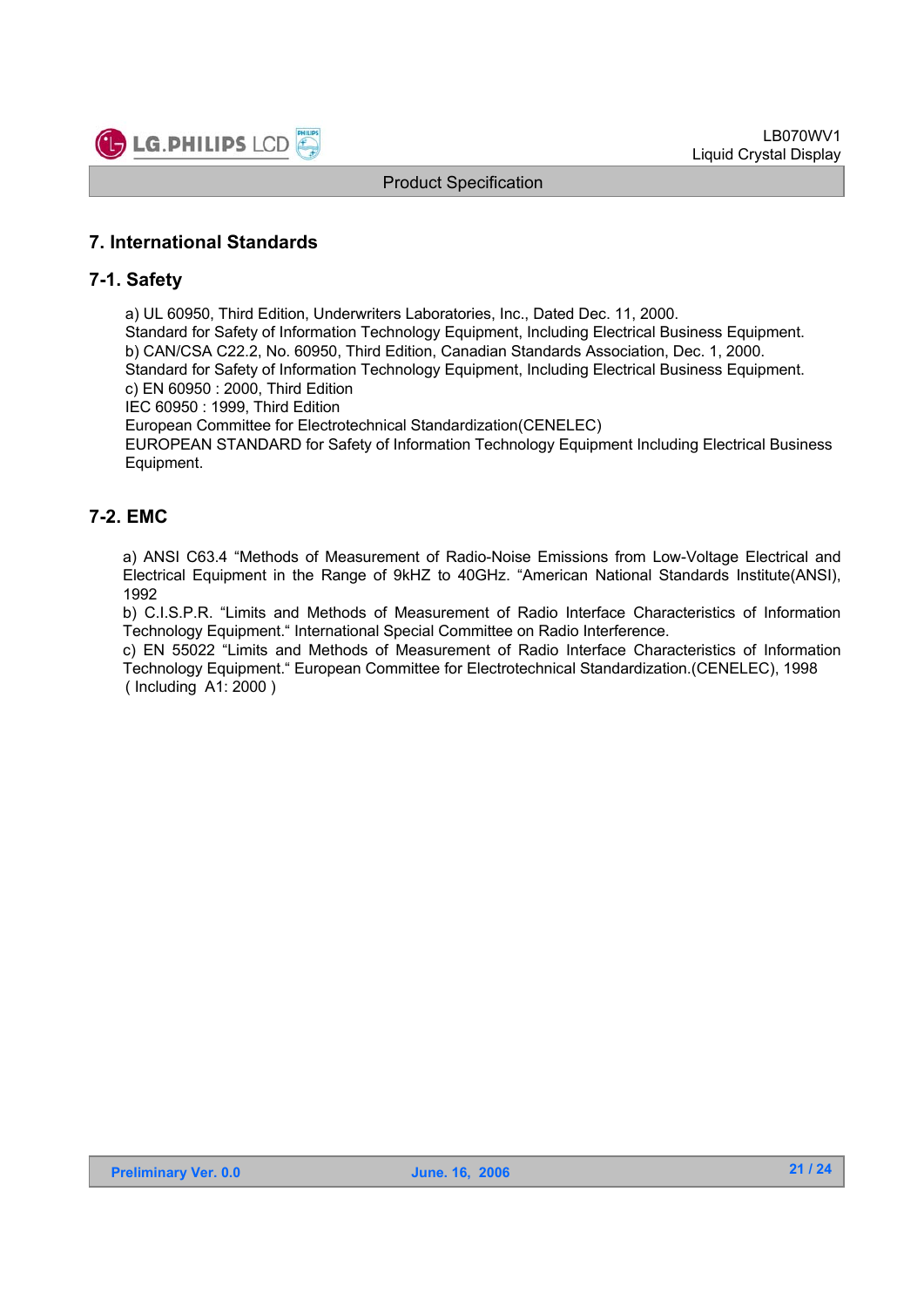

### **7. International Standards**

#### **7-1. Safety**

a) UL 60950, Third Edition, Underwriters Laboratories, Inc., Dated Dec. 11, 2000.

Standard for Safety of Information Technology Equipment, Including Electrical Business Equipment. b) CAN/CSA C22.2, No. 60950, Third Edition, Canadian Standards Association, Dec. 1, 2000. Standard for Safety of Information Technology Equipment, Including Electrical Business Equipment. c) EN 60950 : 2000, Third Edition

IEC 60950 : 1999, Third Edition

European Committee for Electrotechnical Standardization(CENELEC)

EUROPEAN STANDARD for Safety of Information Technology Equipment Including Electrical Business Equipment.

#### **7-2. EMC**

a) ANSI C63.4 "Methods of Measurement of Radio-Noise Emissions from Low-Voltage Electrical and Electrical Equipment in the Range of 9kHZ to 40GHz. "American National Standards Institute(ANSI), 1992

b) C.I.S.P.R. "Limits and Methods of Measurement of Radio Interface Characteristics of Information Technology Equipment." International Special Committee on Radio Interference.

c) EN 55022 "Limits and Methods of Measurement of Radio Interface Characteristics of Information Technology Equipment." European Committee for Electrotechnical Standardization.(CENELEC), 1998 ( Including A1: 2000 )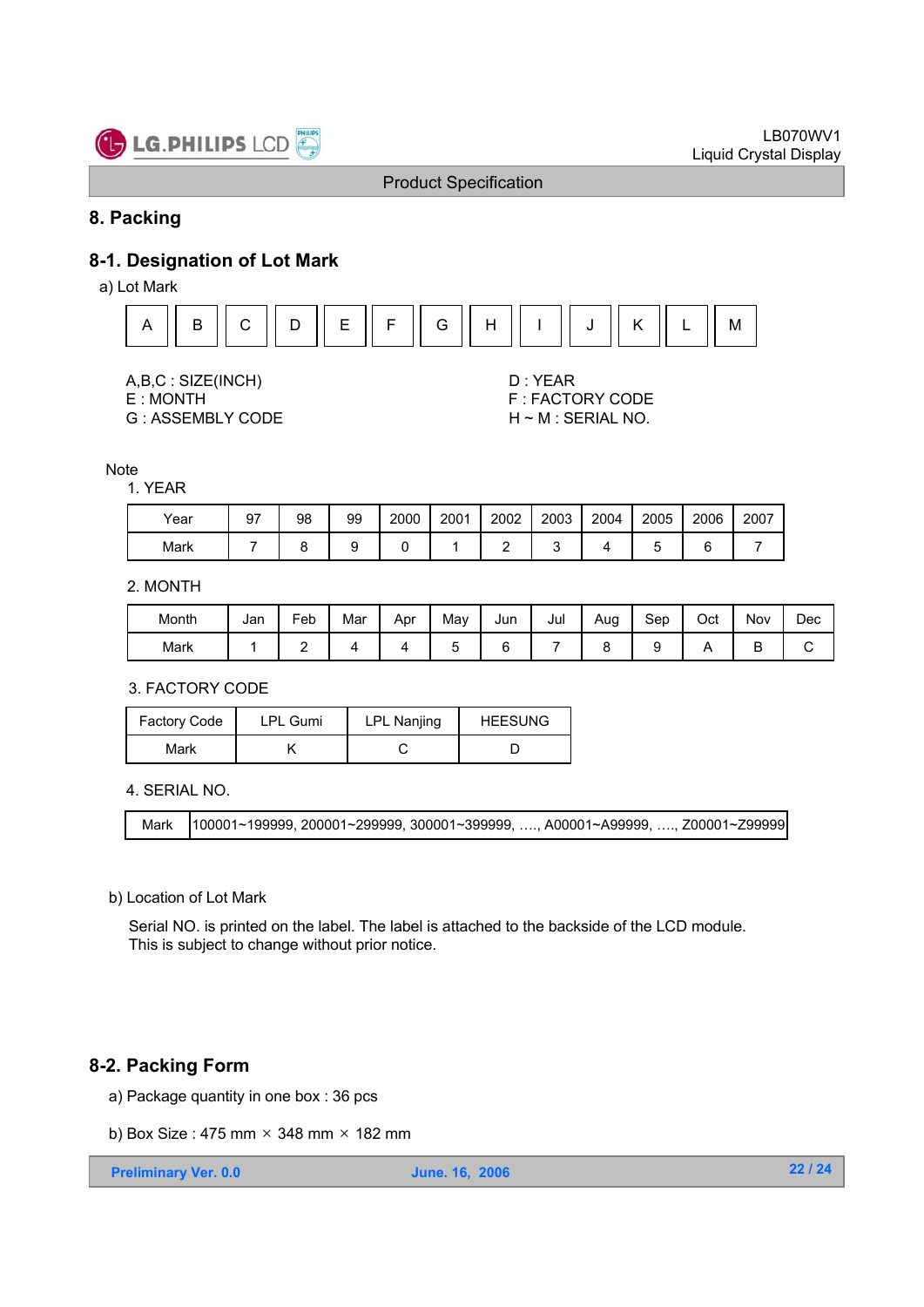

#### **8. Packing**

### **8-1. Designation of Lot Mark**

a) Lot Mark



- 
- 
- G: ASSEMBLY CODE H ~ M: SERIAL NO.

A,B,C : SIZE(INCH) D : YEAR<br>E : MONTH F : FACT( **F: FACTORY CODE** 

**Note** 

#### 1. YEAR

| Year | 97 | 98 | 99 | 2000 | 2001 | 2002 | 2003 | 2004 | 2005 | 2006 | 2007 |
|------|----|----|----|------|------|------|------|------|------|------|------|
| Mark |    |    |    |      |      |      |      |      |      | ⌒    |      |

#### 2. MONTH

| Month | Jan | -<br>Feb | Mar | Apr | Mav | Jun | Jul | Aug | Sep | Oct | Nov | Dec |
|-------|-----|----------|-----|-----|-----|-----|-----|-----|-----|-----|-----|-----|
| Mark  |     |          |     |     |     |     |     |     |     |     | ້   |     |

#### 3. FACTORY CODE

| <b>Factory Code</b> | <b>LPL Gumi</b> | <b>LPL Nanjing</b> | <b>HEESUNG</b> |
|---------------------|-----------------|--------------------|----------------|
| Mark                |                 |                    |                |

4. SERIAL NO.

Mark 100001~199999, 200001~299999, 300001~399999, …., A00001~A99999, …., Z00001~Z99999

#### b) Location of Lot Mark

Serial NO. is printed on the label. The label is attached to the backside of the LCD module. This is subject to change without prior notice.

#### **8-2. Packing Form**

- a) Package quantity in one box : 36 pcs
- b) Box Size: 475 mm  $\times$  348 mm  $\times$  182 mm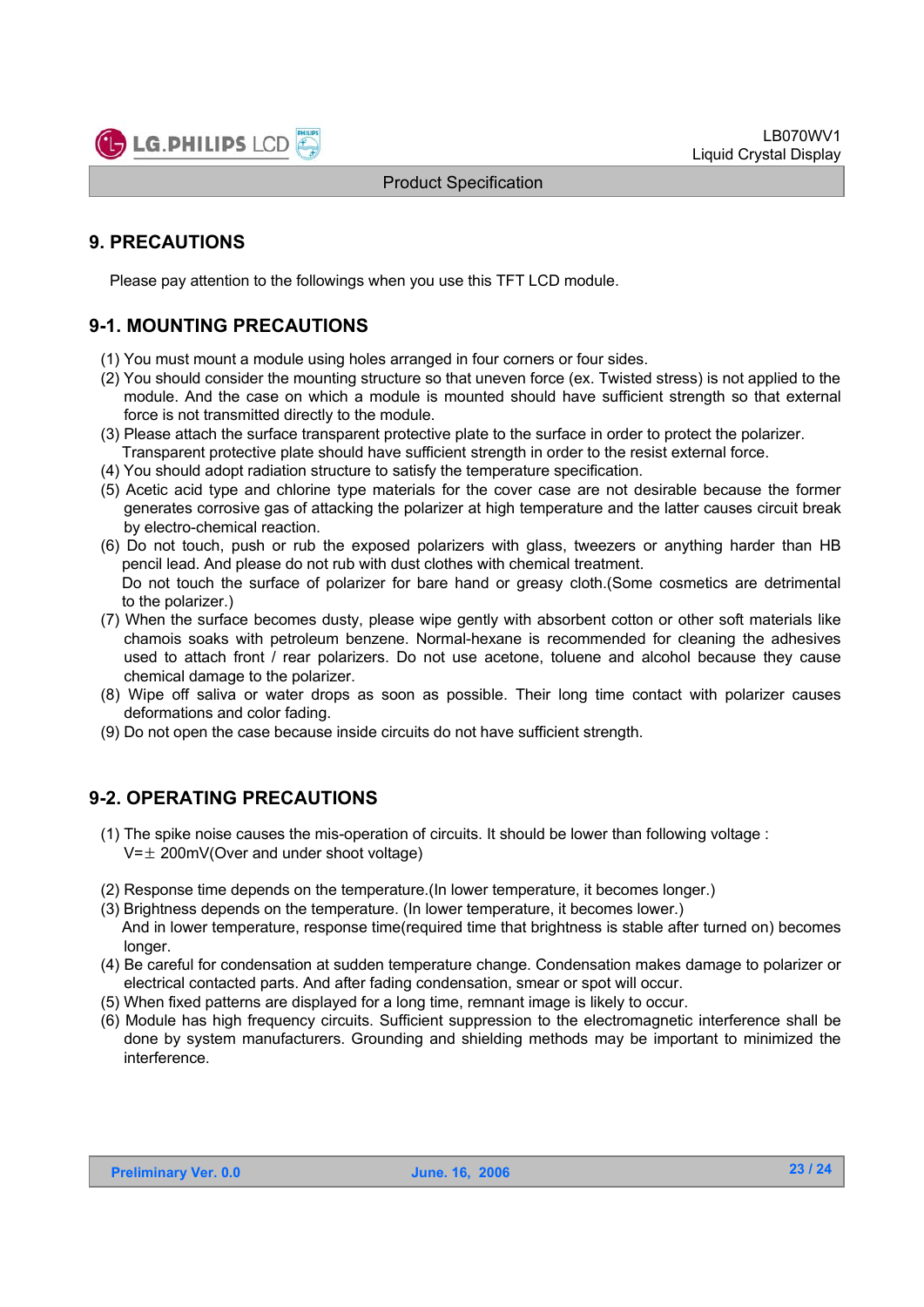

### **9. PRECAUTIONS**

Please pay attention to the followings when you use this TFT LCD module.

### **9-1. MOUNTING PRECAUTIONS**

- (1) You must mount a module using holes arranged in four corners or four sides.
- (2) You should consider the mounting structure so that uneven force (ex. Twisted stress) is not applied to the module. And the case on which a module is mounted should have sufficient strength so that external force is not transmitted directly to the module.
- (3) Please attach the surface transparent protective plate to the surface in order to protect the polarizer. Transparent protective plate should have sufficient strength in order to the resist external force.
- (4) You should adopt radiation structure to satisfy the temperature specification.
- (5) Acetic acid type and chlorine type materials for the cover case are not desirable because the former generates corrosive gas of attacking the polarizer at high temperature and the latter causes circuit break by electro-chemical reaction.
- (6) Do not touch, push or rub the exposed polarizers with glass, tweezers or anything harder than HB pencil lead. And please do not rub with dust clothes with chemical treatment. Do not touch the surface of polarizer for bare hand or greasy cloth.(Some cosmetics are detrimental
- to the polarizer.) (7) When the surface becomes dusty, please wipe gently with absorbent cotton or other soft materials like chamois soaks with petroleum benzene. Normal-hexane is recommended for cleaning the adhesives used to attach front / rear polarizers. Do not use acetone, toluene and alcohol because they cause
- chemical damage to the polarizer. (8) Wipe off saliva or water drops as soon as possible. Their long time contact with polarizer causes deformations and color fading.
- (9) Do not open the case because inside circuits do not have sufficient strength.

### **9-2. OPERATING PRECAUTIONS**

- (1) The spike noise causes the mis-operation of circuits. It should be lower than following voltage :  $V=\pm 200$ mV(Over and under shoot voltage)
- (2) Response time depends on the temperature.(In lower temperature, it becomes longer.)
- (3) Brightness depends on the temperature. (In lower temperature, it becomes lower.) And in lower temperature, response time(required time that brightness is stable after turned on) becomes
- longer. (4) Be careful for condensation at sudden temperature change. Condensation makes damage to polarizer or electrical contacted parts. And after fading condensation, smear or spot will occur.
- (5) When fixed patterns are displayed for a long time, remnant image is likely to occur.
- (6) Module has high frequency circuits. Sufficient suppression to the electromagnetic interference shall be done by system manufacturers. Grounding and shielding methods may be important to minimized the interference.